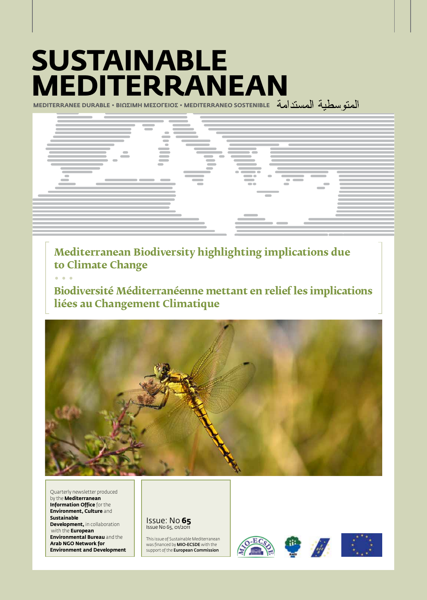# **Sustainable Mediterranean**

**MEDITERRANEE DURABLE • BIΩΣIMH MEΣOΓEIOΣ • MEDITERRANEO SOSTENIBLE**



**Mediterranean Biodiversity highlighting implications due to Climate Change**

**• • •**

**Biodiversité Méditerranéenne mettant en relief les implications liées au Changement Climatique**



Quarterly newsletter produced by the **Mediterranean Information Office** for the **Environment, Culture** and **Sustainable Development,** in collaboration with the **European Environmental Bureau** and the **Arab NGO Network for Environment and Development**

Issue: No **65** Issue No 65, 01/2011

This issue of Sustainable Mediterranean was financed by MIO-ECSDE with the support of the **European Commission** 





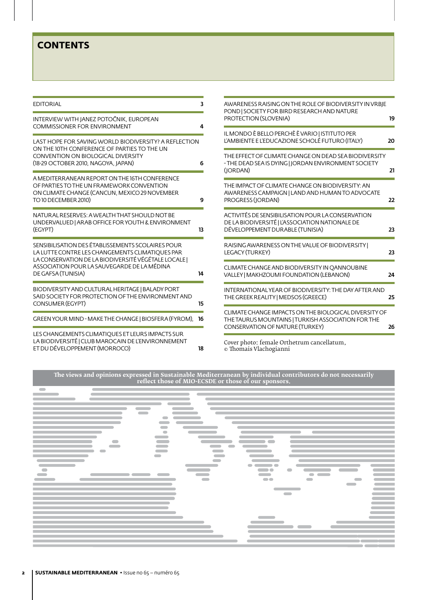# **CONTENTS**

| <b>EDITORIAL</b>                                                                                                                                                                                                                  | 3  | AWARENESS RAISING ON THE ROLE OF BIODIVERSITY IN VRBJE                                                                                         |    |
|-----------------------------------------------------------------------------------------------------------------------------------------------------------------------------------------------------------------------------------|----|------------------------------------------------------------------------------------------------------------------------------------------------|----|
| INTERVIEW WITH JANEZ POTOČNIK, EUROPEAN<br><b>COMMISSIONER FOR ENVIRONMENT</b>                                                                                                                                                    | 4  | POND   SOCIETY FOR BIRD RESEARCH AND NATURE<br>PROTECTION (SLOVENIA)                                                                           | 19 |
| LAST HOPE FOR SAVING WORLD BIODIVERSITY? A REFLECTION<br>ON THE 10TH CONFERENCE OF PARTIES TO THE UN<br><b>CONVENTION ON BIOLOGICAL DIVERSITY</b><br>(18-29 OCTOBER 2010, NAGOYA, JAPAN)                                          |    | IL MONDO È BELLO PERCHÈ È VARIO   ISTITUTO PER<br>L'AMBIENTE E L'EDUCAZIONE SCHOLÉ FUTURO (ITALY)                                              | 20 |
|                                                                                                                                                                                                                                   | 6  | THE EFFECT OF CLIMATE CHANGE ON DEAD SEA BIODIVERSITY<br>- THE DEAD SEA IS DYING   JORDAN ENVIRONMENT SOCIETY<br>(JORDAN)                      | 21 |
| A MEDITERRANEAN REPORT ON THE 16TH CONFERENCE<br>OF PARTIES TO THE UN FRAMEWORK CONVENTION<br>ON CLIMATE CHANGE (CANCUN, MEXICO 29 NOVEMBER<br>TO 10 DECEMBER 2010)                                                               | 9  | THE IMPACT OF CLIMATE CHANGE ON BIODIVERSITY: AN<br>AWARENESS CAMPAIGN   LAND AND HUMAN TO ADVOCATE<br>PROGRESS (JORDAN)                       | 22 |
| NATURAL RESERVES: A WEALTH THAT SHOULD NOT BE<br>UNDERVALUED   ARAB OFFICE FOR YOUTH & ENVIRONMENT<br>(EGYPT)                                                                                                                     | 13 | ACTIVITÉS DE SENSIBILISATION POUR LA CONSERVATION<br>DE LA BIODIVERSITÉ   L'ASSOCIATION NATIONALE DE<br>DÉVELOPPEMENT DURABLE (TUNISIA)        | 23 |
| SENSIBILISATION DES ÉTABLISSEMENTS SCOLAIRES POUR<br>LA LUTTE CONTRE LES CHANGEMENTS CLIMATIQUES PAR<br>LA CONSERVATION DE LA BIODIVERSITÉ VÉGÉTALE LOCALE  <br>ASSOCIATION POUR LA SAUVEGARDE DE LA MÉDINA<br>DE GAFSA (TUNISIA) |    | RAISING AWARENESS ON THE VALUE OF BIODIVERSITY<br>LEGACY (TURKEY)                                                                              | 23 |
|                                                                                                                                                                                                                                   | 14 | CLIMATE CHANGE AND BIODIVERSITY IN OANNOUBINE<br>VALLEY   MAKHZOUMI FOUNDATION (LEBANON)                                                       | 24 |
| BIODIVERSITY AND CULTURAL HERITAGE   BALADY PORT<br>SAID SOCIETY FOR PROTECTION OF THE ENVIRONMENT AND<br><b>CONSUMER (EGYPT)</b>                                                                                                 | 15 | INTERNATIONAL YEAR OF BIODIVERSITY: THE DAY AFTER AND<br>THE GREEK REALITY   MEDSOS (GREECE)                                                   | 25 |
| GREEN YOUR MIND - MAKE THE CHANGE   BIOSFERA (FYROM),                                                                                                                                                                             | 16 | CLIMATE CHANGE IMPACTS ON THE BIOLOGICAL DIVERSITY OF<br>THE TAURUS MOUNTAINS   TURKISH ASSOCIATION FOR THE<br>CONSERVATION OF NATURE (TURKEY) | 26 |
| LES CHANGEMENTS CLIMATIQUES ET LEURS IMPACTS SUR<br>LA BIODIVERSITÉ   CLUB MAROCAIN DE L'ENVIRONNEMENT<br>ET DU DÉVELOPPEMENT (MORROCO)                                                                                           | 18 | Cover photo: female Orthetrum cancellatum,<br>© Thomais Vlachogianni                                                                           |    |

**The views and opinions expressed in Sustainable Mediterranean by individual contributors do not necessarily reflect those of MIO-ECSDE or those of our sponsors.**

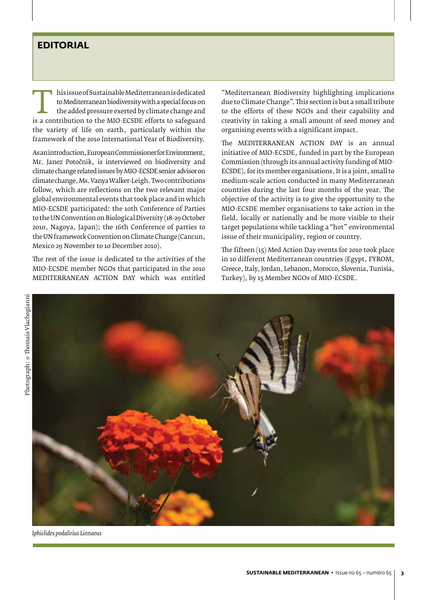## **EDITORIAL**

T his issue of Sustainable Mediterranean is dedicated<br>to Mediterranean biodiversity with a special focus on<br>the added pressure exerted by climate change and<br>is a contribution to the MIO-ECSDE efforts to safeguard<br>the varie to Mediterranean biodiversity with a special focus on the added pressure exerted by climate change and the variety of life on earth, particularly within the framework of the 2010 International Year of Biodiversity.

As an introduction, European Commissioner for Environment, Mr. Janez Potočnik, is interviewed on biodiversity and climate change related issues by MIO-ECSDE senior advisor on climate change, Ms. Vanya Walker-Leigh. Two contributions follow, which are reflections on the two relevant major global environmental events that took place and in which MIO-ECSDE participated: the 10th Conference of Parties to the UN Convention on Biological Diversity (18-29 October 2010, Nagoya, Japan); the 16th Conference of parties to the UN framework Convention on Climate Change (Cancun, Mexico 29 November to 10 December 2010).

The rest of the issue is dedicated to the activities of the MIO-ECSDE member NGOs that participated in the 2010 MEDITERRANEAN ACTION DAY which was entitled

"Mediterranean Biodiversity highlighting implications due to Climate Change". This section is but a small tribute to the efforts of these NGOs and their capability and creativity in taking a small amount of seed money and organising events with a significant impact.

The MEDITERRANEAN ACTION DAY is an annual initiative of MIO-ECSDE, funded in part by the European Commission (through its annual activity funding of MIO-ECSDE), for its member organisations. It is a joint, small to medium-scale action conducted in many Mediterranean countries during the last four months of the year. The objective of the activity is to give the opportunity to the MIO-ECSDE member organisations to take action in the field, locally or nationally and be more visible to their target populations while tackling a "hot" environmental issue of their municipality, region or country.

The fifteen (15) Med Action Day events for 2010 took place in 10 different Mediterranean countries (Egypt, FYROM, Greece, Italy, Jordan, Lebanon, Morocco, Slovenia, Tunisia, Turkey), by 15 Member NGOs of MIO-ECSDE.



*Iphiclides podalirius Linnaeus*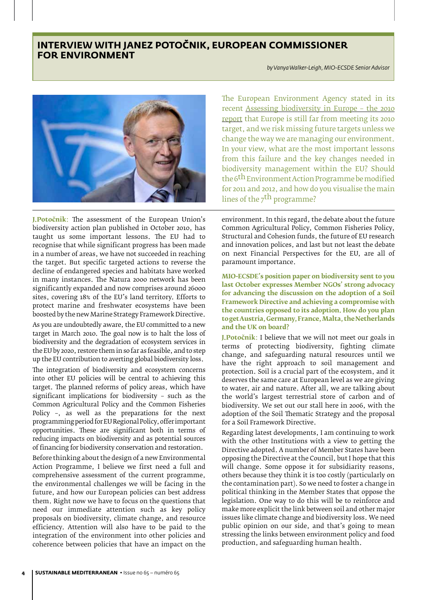# **Interview with Janez Potočnik, European Commissioner for Environment**

*by Vanya Walker-Leigh, MIO-ECSDE Senior Advisor*



**J.Potočnik**: The assessment of the European Union's biodiversity action plan published in October 2010, has taught us some important lessons. The EU had to recognise that while significant progress has been made in a number of areas, we have not succeeded in reaching the target. But specific targeted actions to reverse the decline of endangered species and habitats have worked in many instances. The Natura 2000 network has been significantly expanded and now comprises around 26000 sites, covering 18% of the EU's land territory. Efforts to protect marine and freshwater ecosystems have been boosted by the new Marine Strategy Framework Directive.

As you are undoubtedly aware, the EU committed to a new target in March 2010. The goal now is to halt the loss of biodiversity and the degradation of ecosystem services in the EU by 2020, restore them in so far as feasible, and to step up the EU contribution to averting global biodiversity loss.

The integration of biodiversity and ecosystem concerns into other EU policies will be central to achieving this target. The planned reforms of policy areas, which have significant implications for biodiversity – such as the Common Agricultural Policy and the Common Fisheries Policy –, as well as the preparations for the next programming period for EU Regional Policy, offer important opportunities. These are significant both in terms of reducing impacts on biodiversity and as potential sources of financing for biodiversity conservation and restoration.

Before thinking about the design of a new Environmental Action Programme, I believe we first need a full and comprehensive assessment of the current programme, the environmental challenges we will be facing in the future, and how our European policies can best address them. Right now we have to focus on the questions that need our immediate attention such as key policy proposals on biodiversity, climate change, and resource efficiency. Attention will also have to be paid to the integration of the environment into other policies and coherence between policies that have an impact on the The European Environment Agency stated in its recent Assessing biodiversity in Europe – the 2010 report that Europe is still far from meeting its 2010 target, and we risk missing future targets unless we change the way we are managing our environment. In your view, what are the most important lessons from this failure and the key changes needed in biodiversity management within the EU? Should the 6<sup>th</sup> Environment Action Programme be modified for 2011 and 2012, and how do you visualise the main lines of the  $7<sup>th</sup>$  programme?

environment. In this regard, the debate about the future Common Agricultural Policy, Common Fisheries Policy, Structural and Cohesion funds, the future of EU research and innovation polices, and last but not least the debate on next Financial Perspectives for the EU, are all of paramount importance.

**MIO-ECSDE's position paper on biodiversity sent to you last October expresses Member NGOs' strong advocacy for advancing the discussion on the adoption of a Soil Framework Directive and achieving a compromise with the countries opposed to its adoption. How do you plan to get Austria, Germany, France, Malta, the Netherlands and the UK on board?**

**J.Potočnik**: I believe that we will not meet our goals in terms of protecting biodiversity, fighting climate change, and safeguarding natural resources until we have the right approach to soil management and protection. Soil is a crucial part of the ecosystem, and it deserves the same care at European level as we are giving to water, air and nature. After all, we are talking about the world's largest terrestrial store of carbon and of biodiversity. We set out our stall here in 2006, with the adoption of the Soil Thematic Strategy and the proposal for a Soil Framework Directive.

Regarding latest developments, I am continuing to work with the other Institutions with a view to getting the Directive adopted. A number of Member States have been opposing the Directive at the Council, but I hope that this will change. Some oppose it for subsidiarity reasons, others because they think it is too costly (particularly on the contamination part). So we need to foster a change in political thinking in the Member States that oppose the legislation. One way to do this will be to reinforce and make more explicit the link between soil and other major issues like climate change and biodiversity loss. We need public opinion on our side, and that's going to mean stressing the links between environment policy and food production, and safeguarding human health.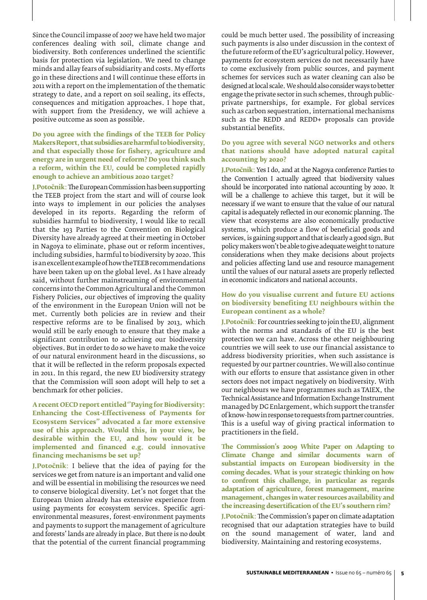Since the Council impasse of 2007 we have held two major conferences dealing with soil, climate change and biodiversity. Both conferences underlined the scientific basis for protection via legislation. We need to change minds and allay fears of subsidiarity and costs. My efforts go in these directions and I will continue these efforts in 2011 with a report on the implementation of the thematic strategy to date, and a report on soil sealing, its effects, consequences and mitigation approaches. I hope that, with support from the Presidency, we will achieve a positive outcome as soon as possible.

**Do you agree with the findings of the TEEB for Policy Makers Report, that subsidies are harmful to biodiversity, and that especially those for fishery, agriculture and energy are in urgent need of reform? Do you think such a reform, within the EU, could be completed rapidly enough to achieve an ambitious 2020 target?**

**J. Potočnik**: The European Commission has been supporting the TEEB project from the start and will of course look into ways to implement in our policies the analyses developed in its reports. Regarding the reform of subsidies harmful to biodiversity, I would like to recall that the 193 Parties to the Convention on Biological Diversity have already agreed at their meeting in October in Nagoya to eliminate, phase out or reform incentives, including subsidies, harmful to biodiversity by 2020. This is an excellent example of how the TEEB recommendations have been taken up on the global level. As I have already said, without further mainstreaming of environmental concerns into the Common Agricultural and the Common Fishery Policies, our objectives of improving the quality of the environment in the European Union will not be met. Currently both policies are in review and their respective reforms are to be finalised by 2013, which would still be early enough to ensure that they make a significant contribution to achieving our biodiversity objectives. But in order to do so we have to make the voice of our natural environment heard in the discussions, so that it will be reflected in the reform proposals expected in 2011. In this regard, the new EU biodiversity strategy that the Commission will soon adopt will help to set a benchmark for other policies.

**A recent OECD report entitled ''Paying for Biodiversity: Enhancing the Cost-Effectiveness of Payments for Ecosystem Services" advocated a far more extensive use of this approach. Would this, in your view, be desirable within the EU, and how would it be implemented and financed e.g. could innovative financing mechanisms be set up?**

**J.Potočnik**: I believe that the idea of paying for the services we get from nature is an important and valid one and will be essential in mobilising the resources we need to conserve biological diversity. Let's not forget that the European Union already has extensive experience from using payments for ecosystem services. Specific agrienvironmental measures, forest-environment payments and payments to support the management of agriculture and forests' lands are already in place. But there is no doubt that the potential of the current financial programming could be much better used. The possibility of increasing such payments is also under discussion in the context of the future reform of the EU's agricultural policy. However, payments for ecosystem services do not necessarily have to come exclusively from public sources, and payment schemes for services such as water cleaning can also be designed at local scale. We should also consider ways to better engage the private sector in such schemes, through publicprivate partnerships, for example. For global services such as carbon sequestration, international mechanisms such as the REDD and REDD+ proposals can provide substantial benefits.

## **Do you agree with several NGO networks and others that nations should have adopted natural capital accounting by 2020?**

**J.Potočnik**: Yes I do, and at the Nagoya conference Parties to the Convention I actually agreed that biodiversity values should be incorporated into national accounting by 2020. It will be a challenge to achieve this target, but it will be necessary if we want to ensure that the value of our natural capital is adequately reflected in our economic planning. The view that ecosystems are also economically productive systems, which produce a flow of beneficial goods and services, is gaining support and that is clearly a good sign. But policy makers won't be able to give adequate weight to nature considerations when they make decisions about projects and policies affecting land use and resource management until the values of our natural assets are properly reflected in economic indicators and national accounts.

## **How do you visualise current and future EU actions on biodiversity benefiting EU neighbours within the European continent as a whole?**

**J.Potočnik**: For countries seeking to join the EU, alignment with the norms and standards of the EU is the best protection we can have. Across the other neighbouring countries we will seek to use our financial assistance to address biodiversity priorities, when such assistance is requested by our partner countries. We will also continue with our efforts to ensure that assistance given in other sectors does not impact negatively on biodiversity. With our neighbours we have programmes such as TAIEX, the Technical Assistance and Information Exchange Instrument managed by DG Enlargement, which support the transfer of know-how in response to requests from partner countries. This is a useful way of giving practical information to practitioners in the field.

**The Commission's 2009 White Paper on Adapting to Climate Change and similar documents warn of substantial impacts on European biodiversity in the coming decades. What is your strategic thinking on how to confront this challenge, in particular as regards adaptation of agriculture, forest management, marine management, changes in water resources availability and the increasing desertification of the EU's southern rim?**

**J.Potočnik**: The Commission's paper on climate adaptation recognised that our adaptation strategies have to build on the sound management of water, land and biodiversity. Maintaining and restoring ecosystems.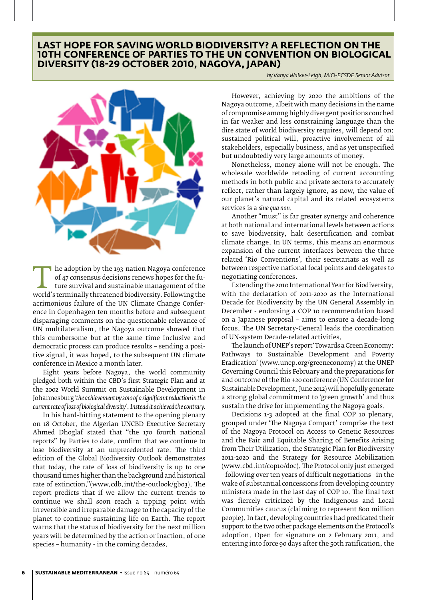## **Last hope for saving world biodiversity? A reflection on the 10th Conference of Parties to the UN Convention on Biological Diversity (18-29 October 2010, Nagoya, Japan)**



The adoption by the 193-nation Nagoya conference<br>
of 47 consensus decisions renews hopes for the fu-<br>
ture survival and sustainable management of the<br>
world's terminally threatened biodiversity. Following the<br>
acrimonious of 47 consensus decisions renews hopes for the future survival and sustainable management of the acrimonious failure of the UN Climate Change Conference in Copenhagen ten months before and subsequent disparaging comments on the questionable relevance of UN multilateralism, the Nagoya outcome showed that this cumbersome but at the same time inclusive and democratic process can produce results – sending a positive signal, it was hoped, to the subsequent UN climate conference in Mexico a month later.

Eight years before Nagoya, the world community pledged both within the CBD's first Strategic Plan and at the 2002 World Summit on Sustainable Development in Johannesburg *'the achievement by 2010 of a significant reduction in the current rate of loss of biological diversity'. Instead it achieved the contrary.*

In his hard-hitting statement to the opening plenary on 18 October, the Algerian UNCBD Executive Secretary Ahmed Dhoglaf stated that "the 170 fourth national reports" by Parties to date, confirm that we continue to lose biodiversity at an unprecedented rate. The third edition of the Global Biodiversity Outlook demonstrates that today, the rate of loss of biodiversity is up to one thousand times higher than the background and historical rate of extinction."(www.cdb.int/the-outlook/gbo3). The report predicts that if we allow the current trends to continue we shall soon reach a tipping point with irreversible and irreparable damage to the capacity of the planet to continue sustaining life on Earth. The report warns that the status of biodiversity for the next million years will be determined by the action or inaction, of one species – humanity - in the coming decades.

*by Vanya Walker-Leigh, MIO-ECSDE Senior Advisor*

However, achieving by 2020 the ambitions of the Nagoya outcome, albeit with many decisions in the name of compromise among highly divergent positions couched in far weaker and less constraining language than the dire state of world biodiversity requires, will depend on: sustained political will, proactive involvement of all stakeholders, especially business, and as yet unspecified but undoubtedly very large amounts of money.

Nonetheless, money alone will not be enough. The wholesale worldwide retooling of current accounting methods in both public and private sectors to accurately reflect, rather than largely ignore, as now, the value of our planet's natural capital and its related ecosystems services is a *sine qua non.*

Another "must" is far greater synergy and coherence at both national and international levels between actions to save biodiversity, halt desertification and combat climate change. In UN terms, this means an enormous expansion of the current interfaces between the three related 'Rio Conventions', their secretariats as well as between respective national focal points and delegates to negotiating conferences.

Extending the 2010 International Year for Biodiversity, with the declaration of 2011-2020 as the International Decade for Biodiversity by the UN General Assembly in December - endorsing a COP 10 recommendation based on a Japanese proposal – aims to ensure a decade-long focus. The UN Secretary-General leads the coordination of UN-system Decade-related activities.

The launch of UNEP's report 'Towards a Green Economy: Pathways to Sustainable Development and Poverty Eradication' (www.unep.org/greeneconomy) at the UNEP Governing Council this February and the preparations for and outcome of the Rio +20 conference (UN Conference for Sustainable Development, June 2012) will hopefully generate a strong global commitment to 'green growth' and thus sustain the drive for implementing the Nagoya goals.

Decisions 1-3 adopted at the final COP 10 plenary, grouped under 'The Nagoya Compact' comprise the text of the Nagoya Protocol on Access to Genetic Resources and the Fair and Equitable Sharing of Benefits Arising from Their Utilization, the Strategic Plan for Biodiversity 2011-2020 and the Strategy for Resource Mobilization (www.cbd.int/cop10/doc). The Protocol only just emerged - following over ten years of difficult negotiations - in the wake of substantial concessions from developing country ministers made in the last day of COP 10. The final text was fiercely criticized by the Indigenous and Local Communities caucus (claiming to represent 800 million people). In fact, developing countries had predicated their support to the two other package elements on the Protocol's adoption. Open for signature on 2 February 2011, and entering into force 90 days after the 50th ratification, the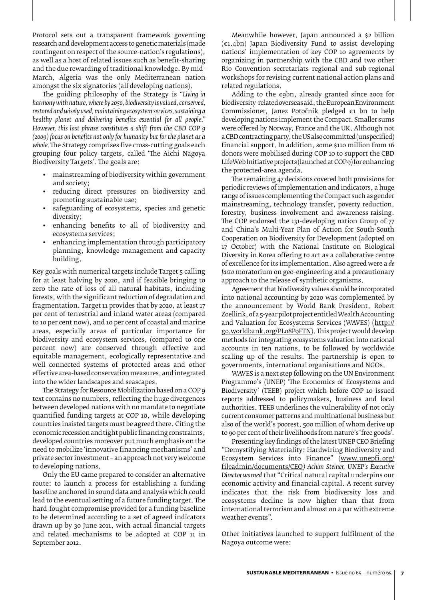Protocol sets out a transparent framework governing research and development access to genetic materials (made contingent on respect of the source-nation's regulations), as well as a host of related issues such as benefit-sharing and the due rewarding of traditional knowledge. By mid-March, Algeria was the only Mediterranean nation amongst the six signatories (all developing nations).

The guiding philosophy of the Strategy is *"Living in harmony with nature, where by 2050, biodiversity is valued, conserved, restored and wisely used, maintaining ecosystem services, sustaining a healthy planet and delivering benefits essential for all people." However, this last phrase constitutes a shift from the CBD COP 9 (2009) focus on benefits not only for humanity but for the planet as a whole.* The Strategy comprises five cross-cutting goals each grouping four policy targets, called 'The Aichi Nagoya Biodiversity Targets'. The goals are:

- mainstreaming of biodiversity within government and society;
- reducing direct pressures on biodiversity and promoting sustainable use;
- safeguarding of ecosystems, species and genetic diversity;
- enhancing benefits to all of biodiversity and ecosystems services;
- enhancing implementation through participatory planning, knowledge management and capacity building.

Key goals with numerical targets include Target 5 calling for at least halving by 2020, and if feasible bringing to zero the rate of loss of all natural habitats, including forests, with the significant reduction of degradation and fragmentation. Target 11 provides that by 2020, at least 17 per cent of terrestrial and inland water areas (compared to 10 per cent now), and 10 per cent of coastal and marine areas, especially areas of particular importance for biodiversity and ecosystem services, (compared to one percent now) are conserved through effective and equitable management, ecologically representative and well connected systems of protected areas and other effective area-based conservation measures, and integrated into the wider landscapes and seascapes.

The Strategy for Resource Mobilization based on a COP 9 text contains no numbers, reflecting the huge divergences between developed nations with no mandate to negotiate quantified funding targets at COP 10, while developing countries insisted targets must be agreed there. Citing the economic recession and tight public financing constraints, developed countries moreover put much emphasis on the need to mobilize 'innovative financing mechanisms' and private sector investment – an approach not very welcome to developing nations.

Only the EU came prepared to consider an alternative route: to launch a process for establishing a funding baseline anchored in sound data and analysis which could lead to the eventual setting of a future funding target. The hard-fought compromise provided for a funding baseline to be determined according to a set of agreed indicators drawn up by 30 June 2011, with actual financial targets and related mechanisms to be adopted at COP 11 in September 2012.

Meanwhile however, Japan announced a \$2 billion  $(\epsilon_1, 4$ bn) Japan Biodiversity Fund to assist developing nations' implementation of key COP 10 agreements by organizing in partnership with the CBD and two other Rio Convention secretariats regional and sub-regional workshops for revising current national action plans and related regulations.

Adding to the  $\epsilon$ 9bn, already granted since 2002 for biodiversity-related overseas aid, the European Environment Commissioner, Janez Potočnik pledged €1 bn to help developing nations implement the Compact. Smaller sums were offered by Norway, France and the UK. Although not a CBD contracting party, the US also committed (unspecified) financial support. In addition, some \$110 million from 16 donors were mobilised during COP 10 to support the CBD LifeWeb Initiative projects (launched at COP 9) for enhancing the protected-area agenda.

The remaining 47 decisions covered both provisions for periodic reviews of implementation and indicators, a huge range of issues complementing the Compact such as gender mainstreaming, technology transfer, poverty reduction, forestry, business involvement and awareness-raising. The COP endorsed the 131-developing nation Group of 77 and China's Multi-Year Plan of Action for South-South Cooperation on Biodiversity for Development (adopted on 17 October) with the National Institute on Biological Diversity in Korea offering to act as a collaborative centre of excellence for its implementation. Also agreed were a *de facto* moratorium on geo-engineering and a precautionary approach to the release of synthetic organisms.

Agreement that biodiversity values should be incorporated into national accounting by 2020 was complemented by the announcement by World Bank President, Robert Zoellink, of a 5-year pilot project entitled Wealth Accounting and Valuation for Ecosystems Services (WAVES) (http:// go.worldbank.org/PL08P9FTN). This project would develop methods for integrating ecosystems valuation into national accounts in ten nations, to be followed by worldwide scaling up of the results. The partnership is open to governments, international organisations and NGOs.

WAVES is a next step following on the UN Environment Programme's (UNEP) 'The Economics of Ecosystems and Biodiversity' (TEEB) project which before COP 10 issued reports addressed to policymakers, business and local authorities. TEEB underlines the vulnerability of not only current consumer patterns and multinational business but also of the world's poorest, 500 million of whom derive up to 90 per cent of their livelihoods from nature's 'free goods'.

Presenting key findings of the latest UNEP CEO Briefing "Demystifying Materiality: Hardwiring Biodiversity and Ecosystem Services into Finance" (www.unepfi.org/ fileadmin/documents/CEO*) Achim Steiner, UNEP's Executive Director warned* that "Critical natural capital underpins our economic activity and financial capital. A recent survey indicates that the risk from biodiversity loss and ecosystems decline is now higher than that from international terrorism and almost on a par with extreme weather events".

Other initiatives launched to support fulfilment of the Nagoya outcome were: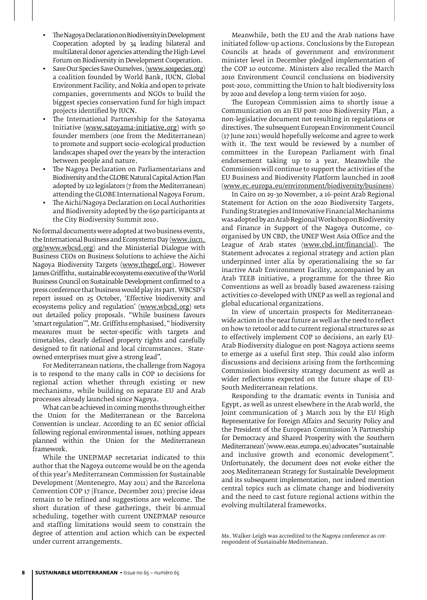- The Nagoya Declaration on Biodiversity in Development Cooperation adopted by 34 leading bilateral and multilateral donor agencies attending the High-Level Forum on Biodiversity in Development Cooperation.
- Save Our Species Save Ourselves, (www.sospecies.org) a coalition founded by World Bank, IUCN, Global Environment Facility, and Nokia and open to private companies, governments and NGOs to build the biggest species conservation fund for high impact projects identified by IUCN.
- The International Partnership for the Satoyama Initiative (www.satoyama-initiative.org) with 50 founder members (one from the Mediterranean) to promote and support socio-ecological production landscapes shaped over the years by the interaction between people and nature.
- The Nagoya Declaration on Parliamentarians and Biodiversity and the GLOBE Natural Capital Action Plan adopted by 122 legislators (7 from the Mediterranean) attending the GLOBE International Nagoya Forum.
- The Aichi/Nagoya Declaration on Local Authorities and Biodiversity adopted by the 650 participants at the City Biodiversity Summit 2010.

No formal documents were adopted at two business events, the International Business and Ecosystems Day (www.iucn. org/www.wbcsd.org) and the Ministerial Dialogue with Business CEOs on Business Solutions to achieve the Aichi Nagoya Biodiversity Targets (www.thegef.org). However James Griffiths, sustainable ecosystems executive of the World Business Council on Sustainable Development confirmed to a press conference that business would play its part. WBCSD's report issued on 25 October, 'Effective biodiversity and ecosystems policy and regulation' (www.wbcsd.org) sets out detailed policy proposals. "While business favours 'smart regulation'", Mr. Griffiths emphasised, " biodiversity measures must be sector-specific with targets and timetables, clearly defined property rights and carefully designed to fit national and local circumstances. Stateowned enterprises must give a strong lead".

For Mediterranean nations, the challenge from Nagoya is to respond to the many calls in COP 10 decisions for regional action whether through existing or new mechanisms, while building on separate EU and Arab processes already launched since Nagoya.

What can be achieved in coming months through either the Union for the Mediterranean or the Barcelona Convention is unclear. According to an EC senior official following regional environmental issues, nothing appears planned within the Union for the Mediterranean framework.

While the UNEP/MAP secretariat indicated to this author that the Nagoya outcome would be on the agenda of this year's Mediterranean Commission for Sustainable Development (Montenegro, May 2011) and the Barcelona Convention COP 17 (France, December 2011) precise ideas remain to be refined and suggestions are welcome. The short duration of these gatherings, their bi-annual scheduling, together with current UNEP/MAP resource and staffing limitations would seem to constrain the degree of attention and action which can be expected under current arrangements.

Meanwhile, both the EU and the Arab nations have initiated follow-up actions. Conclusions by the European Councils at heads of government and environment minister level in December pledged implementation of the COP 10 outcome. Ministers also recalled the March 2010 Environment Council conclusions on biodiversity post-2010, committing the Union to halt biodiversity loss by 2020 and develop a long-term vision for 2050.

The European Commission aims to shortly issue a Communication on an EU post-2010 Biodiversity Plan, a non-legislative document not resulting in regulations or directives. The subsequent European Environment Council (17 June 2011) would hopefully welcome and agree to work with it. The text would be reviewed by a number of committees in the European Parliament with final endorsement taking up to a year. Meanwhile the Commission will continue to support the activities of the EU Business and Biodiversity Platform launched in 2008 (www.ec.europa.eu/environment/biodiversity/business)

In Cairo on 29-30 November, a 16-point Arab Regional Statement for Action on the 2020 Biodiversity Targets, Funding Strategies and Innovative Financial Mechanisms was adopted by an Arab Regional Workshop on Biodiversity and Finance in Support of the Nagoya Outcome, coorganised by UN CBD, the UNEP West Asia Office and the League of Arab states (www.cbd.int/financial). The Statement advocates a regional strategy and action plan underpinned inter alia by operationalising the so far inactive Arab Environment Facility, accompanied by an Arab TEEB initiative, a programme for the three Rio Conventions as well as broadly based awareness-raising activities co-developed with UNEP as well as regional and global educational organizations.

In view of uncertain prospects for Mediterraneanwide action in the near future as well as the need to reflect on how to retool or add to current regional structures so as to effectively implement COP 10 decisions, an early EU-Arab Biodiversity dialogue on post-Nagoya actions seems to emerge as a useful first step. This could also inform discussions and decisions arising from the forthcoming Commission biodiversity strategy document as well as wider reflections expected on the future shape of EU-South Mediterranean relations.

Responding to the dramatic events in Tunisia and Egypt, as well as unrest elsewhere in the Arab world, the Joint communication of 3 March 2011 by the EU High Representative for Foreign Affairs and Security Policy and the President of the European Commission 'A Partnership for Democracy and Shared Prosperity with the Southern Mediterranean' (www.eeas.europa.eu) advocates "sustainable and inclusive growth and economic development". Unfortunately, the document does not evoke either the 2005 Mediterranean Strategy for Sustainable Development and its subsequent implementation, nor indeed mention central topics such as climate change and biodiversity and the need to cast future regional actions within the evolving multilateral frameworks.

Ms. Walker-Leigh was accredited to the Nagoya conference as correspondent of Sustainable Mediterranean.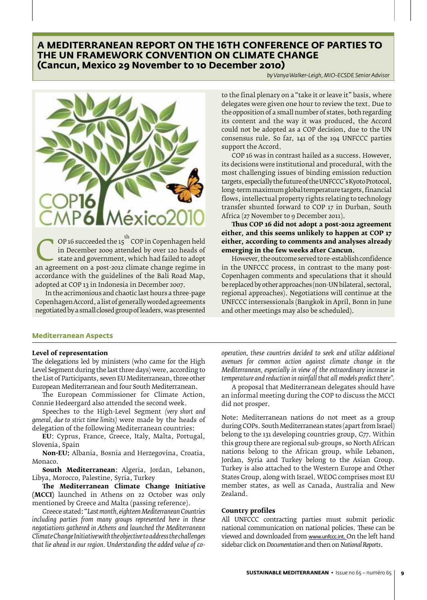## **A MEDITERRANEAN REPORT ON THE 16TH CONFERENCE OF PARTIES TO THE UN FRAMEWORK CONVENTION ON CLIMATE CHANGE (Cancun, Mexico 29 November to 10 December 2010)**

*by Vanya Walker-Leigh, MIO-ECSDE Senior Advisor*



OP 16 succeeded the 15<sup>th</sup> COP in Copenhagen held<br>
in December 2009 attended by over 120 heads of<br>
state and government, which had failed to adopt<br>
an agreement on a post-2012 climate change regime in<br>
accordance with the in December 2009 attended by over 120 heads of state and government, which had failed to adopt accordance with the guidelines of the Bali Road Map, adopted at COP 13 in Indonesia in December 2007.

In the acrimonious and chaotic last hours a three-page Copenhagen Accord, a list of generally worded agreements negotiated by a small closed group of leaders, was presented

to the final plenary on a "take it or leave it" basis, where delegates were given one hour to review the text. Due to the opposition of a small number of states, both regarding its content and the way it was produced, the Accord could not be adopted as a COP decision, due to the UN consensus rule. So far, 141 of the 194 UNFCCC parties support the Accord.

COP 16 was in contrast hailed as a success. However, its decisions were institutional and procedural, with the most challenging issues of binding emission reduction targets, especially the future of the UNFCCC's Kyoto Protocol, long-term maximum global temperature targets, financial flows, intellectual property rights relating to technology transfer shunted forward to COP 17 in Durban, South Africa (27 November to 9 December 2011).

**Thus COP 16 did not adopt a post-2012 agreement either, and this seems unlikely to happen at COP 17 either, according to comments and analyses already emerging in the few weeks after Cancun.**

However, the outcome served to re-establish confidence in the UNFCCC process, in contrast to the many post-Copenhagen comments and speculations that it should be replaced by other approaches (non-UN bilateral, sectoral, regional approaches). Negotiations will continue at the UNFCCC intersessionals (Bangkok in April, Bonn in June and other meetings may also be scheduled).

#### **Mediterranean Aspects**

#### **Level of representation**

The delegations led by ministers (who came for the High Level Segment during the last three days) were, according to the List of Participants, seven EU Mediterranean, three other European Mediterranean and four South Mediterranean.

The European Commissioner for Climate Action, Connie Hedeergard also attended the second week.

Speeches to the High-Level Segment *(very short and general, due to strict time limits)* were made by the heads of delegation of the following Mediterranean countries:

**EU**: Cyprus, France, Greece, Italy, Malta, Portugal, Slovenia, Spain

**Non-EU:** Albania, Bosnia and Herzegovina, Croatia, Monaco.

**South Mediterranean**: Algeria, Jordan, Lebanon, Libya, Morocco, Palestine, Syria, Turkey

**The Mediterranean Climate Change Initiative (MCCI)** launched in Athens on 22 October was only mentioned by Greece and Malta (passing reference).

Greece stated: "*Last month, eighteen Mediterranean Countries including parties from many groups represented here in these negotiations gathered in Athens and launched the Mediterranean Climate Change Initiative with the objective to address the challenges that lie ahead in our region. Understanding the added value of co-* *operation, these countries decided to seek and utilize additional avenues for common action against climate change in the Mediterranean, especially in view of the extraordinary increase in temperature and reduction in rainfall that all models predict there".*

A proposal that Mediterranean delegates should have an informal meeting during the COP to discuss the MCCI did not prosper.

Note: Mediterranean nations do not meet as a group during COPs. South Mediterranean states (apart from Israel) belong to the 131 developing countries group, G77. Within this group there are regional sub-groups, so North African nations belong to the African group, while Lebanon, Jordan, Syria and Turkey belong to the Asian Group. Turkey is also attached to the Western Europe and Other States Group, along with Israel. WEOG comprises most EU member states, as well as Canada, Australia and New Zealand.

#### **Country profiles**

All UNFCCC contracting parties must submit periodic national communication on national policies. These can be viewed and downloaded from www.unfccc.int. On the left hand sidebar click on *Documentation* and then on *National Reports*.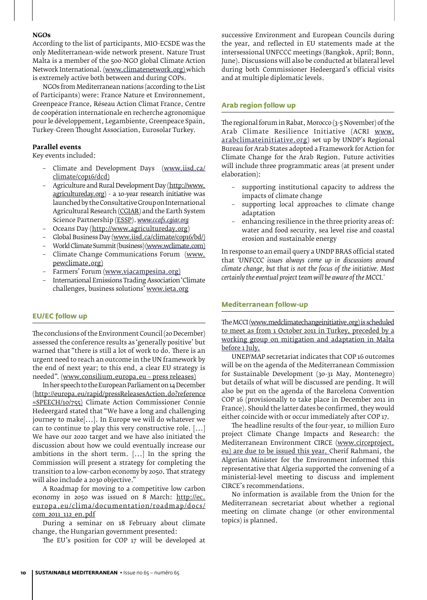## **NGOs**

According to the list of participants, MIO-ECSDE was the only Mediterranean-wide network present. Nature Trust Malta is a member of the 500-NGO global Climate Action Network International. (www.climatenetwork.org) which is extremely active both between and during COPs.

NGOs from Mediterranean nations (according to the List of Participants) were: France Nature et Environnement, Greenpeace France, Réseau Action Climat France, Centre de coopération internationale en recherche agronomique pour le développement, Legambiente, Greenpeace Spain, Turkey-Green Thought Association, Eurosolar Turkey.

## **Parallel events**

Key events included:

- Climate and Development Days (www.iisd.ca/ climate/cop16/dcd)
- Agriculture and Rural Development Day (http://www. agricultureday.org) - a 10-year research initiative was launched by the Consultative Group on International Agricultural Research (CGIAR) and the Earth System Science Partnership (ESSP). *www.ccafs.cgiar.org*
- Oceans Day (http://www.agricultureday.org)
- Global Business Day (www.iisd.ca/climate/cop16/bd/)<br>- World Climate Summit (business) (www.wclimate.com)
- World Climate Summit (business) (www.wclimate.com)
- Climate Change Communications Forum (www. pewclimate.org)
- Farmers' Forum (www.viacampesina.org)
- International Emissions Trading Association 'Climate challenges, business solutions' www.ieta.org

#### **EU/EC follow up**

The conclusions of the Environment Council (20 December) assessed the conference results as 'generally positive' but warned that "there is still a lot of work to do. There is an urgent need to reach an outcome in the UN framework by the end of next year; to this end, a clear EU strategy is needed". (www.consilium.europa.eu – press releases)

In her speech to the European Parliament on 14 December (http://europa.eu/rapid/pressReleasesAction.do?reference =SPEECH/10/755) Climate Action Commissioner Connie Hedeergard stated that "We have a long and challenging journey to make[...]. In Europe we will do whatever we can to continue to play this very constructive role. [...] We have our 2020 target and we have also initiated the discussion about how we could eventually increase our ambitions in the short term. [...] In the spring the Commission will present a strategy for completing the transition to a low-carbon economy by 2050. That strategy will also include a 2030 objective."

A Roadmap for moving to a competitive low carbon economy in 2050 was issued on 8 March: http://ec. europa.eu/clima/documentation/roadmap/docs/ com\_2011\_112\_en.pdf

During a seminar on 18 February about climate change, the Hungarian government presented:

The EU's position for COP 17 will be developed at

successive Environment and European Councils during the year, and reflected in EU statements made at the intersessional UNFCCC meetings (Bangkok, April; Bonn, June). Discussions will also be conducted at bilateral level during both Commissioner Hedeergard's official visits and at multiple diplomatic levels.

## **Arab region follow up**

The regional forum in Rabat, Morocco (3-5 November) of the Arab Climate Resilience Initiative (ACRI www. arabclimateinitiative.org) set up by UNDP's Regional Bureau for Arab States adopted a Framework for Action for Climate Change for the Arab Region. Future activities will include three programmatic areas (at present under elaboration):

- supporting institutional capacity to address the impacts of climate change
- supporting local approaches to climate change adaptation
- enhancing resilience in the three priority areas of: water and food security, sea level rise and coastal erosion and sustainable energy

In response to an email query a UNDP BRAS official stated that *'UNFCCC issues always come up in discussions around climate change, but that is not the focus of the initiative. Most certainly the eventual project team will be aware of the MCCI.'*

#### **Mediterranean follow-up**

The MCCI (www.medclimatechangeinitiative.org) is scheduled to meet as from 1 October 2011 in Turkey, preceded by a working group on mitigation and adaptation in Malta before 1 July.

UNEP/MAP secretariat indicates that COP 16 outcomes will be on the agenda of the Mediterranean Commission for Sustainable Development (30-31 May, Montenegro) but details of what will be discussed are pending. It will also be put on the agenda of the Barcelona Convention COP 16 (provisionally to take place in December 2011 in France). Should the latter dates be confirmed, they would either coincide with or occur immediately after COP 17.

The headline results of the four-year, 10 million Euro project Climate Change Impacts and Research: the Mediterranean Environment CIRCE (www.circeproject. eu) are due to be issued this year. Cherif Rahmani, the Algerian Minister for the Environment informed this representative that Algeria supported the convening of a ministerial-level meeting to discuss and implement CIRCE's recommendations.

No information is available from the Union for the Mediterranean secretariat about whether a regional meeting on climate change (or other environmental topics) is planned.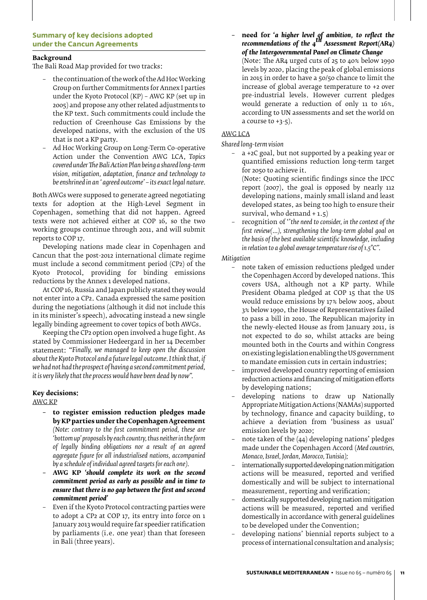## **Summary of key decisions adopted under the Cancun Agreements**

## **Background**

The Bali Road Map provided for two tracks:

- the continuation of the work of the Ad Hoc Working Group on further Commitments for Annex I parties under the Kyoto Protocol (KP) – AWG KP (set up in 2005) and propose any other related adjustments to the KP text. Such commitments could include the reduction of Greenhouse Gas Emissions by the developed nations, with the exclusion of the US that is not a KP party.
- Ad Hoc Working Group on Long-Term Co-operative Action under the Convention AWG LCA, *Topics covered under The Bali Action Plan being a shared long-term vision, mitigation, adaptation, finance and technology to be enshrined in an ' agreed outcome' – its exact legal nature.*

Both AWGs were supposed to generate agreed negotiating texts for adoption at the High-Level Segment in Copenhagen, something that did not happen. Agreed texts were not achieved either at COP 16, so the two working groups continue through 2011, and will submit reports to COP 17.

Developing nations made clear in Copenhagen and Cancun that the post-2012 international climate regime must include a second commitment period (CP2) of the Kyoto Protocol, providing for binding emissions reductions by the Annex 1 developed nations.

At COP 16, Russia and Japan publicly stated they would not enter into a CP2. Canada expressed the same position during the negotiations (although it did not include this in its minister's speech), advocating instead a new single legally binding agreement to cover topics of both AWGs.

Keeping the CP2 option open involved a huge fight. As stated by Commissioner Hedeergard in her 14 December statement: "*Finally, we managed to keep open the discussion about the Kyoto Protocol and a future legal outcome. I think that, if we had not had the prospect of having a second commitment period, it is very likely that the process would have been dead by now".*

## **Key decisions:**

AWG KP

- **– to register emission reduction pledges made by KP parties under the Copenhagen Agreement**  *(Note: contrary to the first commitment period, these are 'bottom up' proposals by each country, thus neither in the form of legally binding obligations nor a result of an agreed aggregate figure for all industrialised nations, accompanied by a schedule of individual agreed targets for each one).*
- **– AWG KP** *'should complete its work on the second commitment period as early as possible and in time to ensure that there is no gap between the first and second commitment period'*
- Even if the Kyoto Protocol contracting parties were to adopt a CP2 at COP 17, its entry into force on 1 January 2013 would require far speedier ratification by parliaments (i.e. one year) than that foreseen in Bali (three years).

**– need for '***a higher level of ambition, to reflect the recommendations of the 4th Assessment Report(AR4) of the Intergovernmental Panel on Climate Change*

(Note: The AR4 urged cuts of 25 to 40% below 1990 levels by 2020, placing the peak of global emissions in 2015 in order to have a 50/50 chance to limit the increase of global average temperature to +2 over pre-industrial levels. However current pledges would generate a reduction of only 11 to 16%, according to UN assessments and set the world on a course to  $+3-5$ ).

## AWG LCA

*Shared long-term vision*

– a +2C goal, but not supported by a peaking year or quantified emissions reduction long-term target for 2050 to achieve it.

(Note: Quoting scientific findings since the IPCC report (2007), the goal is opposed by nearly 112 developing nations, mainly small island and least developed states, as being too high to ensure their survival, who demand + 1.5)

– recognition of ''*the need to consider, in the context of the first review(...), strengthening the long-term global goal on the basis of the best available scientific knowledge, including in relation to a global average temperature rise of 1.5°C".*

#### *Mitigation*

- note taken of emission reductions pledged under the Copenhagen Accord by developed nations. This covers USA, although not a KP party. While President Obama pledged at COP 15 that the US would reduce emissions by 17% below 2005, about 3% below 1990, the House of Representatives failed to pass a bill in 2010. The Republican majority in the newly-elected House as from January 2011, is not expected to do so, whilst attacks are being mounted both in the Courts and within Congress on existing legislation enabling the US government to mandate emission cuts in certain industries;
- improved developed country reporting of emission reduction actions and financing of mitigation efforts by developing nations;
- developing nations to draw up Nationally Appropriate Mitigation Actions (NAMAs) supported by technology, finance and capacity building, to achieve a deviation from 'business as usual' emission levels by 2020;
- note taken of the  $(44)$  developing nations' pledges made under the Copenhagen Accord (*Med countries, Monaco, Israel, Jordan, Morocco, Tunisia);*
- internationally supported developing nation mitigation actions will be measured, reported and verified domestically and will be subject to international measurement, reporting and verification;
- domestically supported developing nation mitigation actions will be measured, reported and verified domestically in accordance with general guidelines to be developed under the Convention;
- developing nations' biennial reports subject to a process of international consultation and analysis;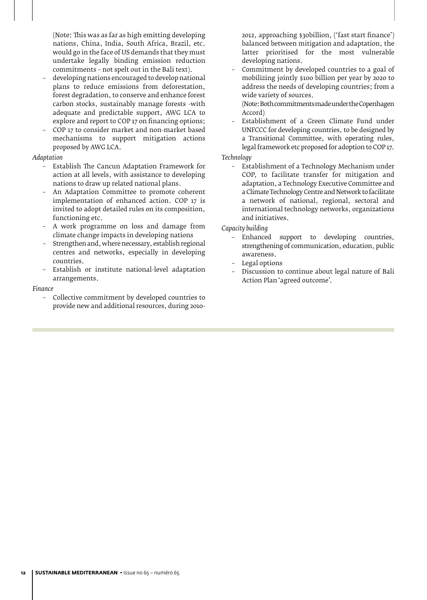(Note: This was as far as high emitting developing nations, China, India, South Africa, Brazil, etc. would go in the face of US demands that they must undertake legally binding emission reduction commitments – not spelt out in the Bali text).

- developing nations encouraged to develop national plans to reduce emissions from deforestation, forest degradation, to conserve and enhance forest carbon stocks, sustainably manage forests -with adequate and predictable support, AWG LCA to explore and report to COP 17 on financing options;
- COP 17 to consider market and non-market based mechanisms to support mitigation actions proposed by AWG LCA.

## *Adaptation*

- Establish The Cancun Adaptation Framework for action at all levels, with assistance to developing nations to draw up related national plans.
- An Adaptation Committee to promote coherent implementation of enhanced action. COP 17 is invited to adopt detailed rules on its composition, functioning etc.
- A work programme on loss and damage from climate change impacts in developing nations
- Strengthen and, where necessary, establish regional centres and networks, especially in developing countries.
- Establish or institute national-level adaptation arrangements.

#### *Finance*

– Collective commitment by developed countries to provide new and additional resources, during 2010-

2012, approaching \$30billion, ('fast start finance') balanced between mitigation and adaptation, the latter prioritised for the most vulnerable developing nations.

– Commitment by developed countries to a goal of mobilizing jointly \$100 billion per year by 2020 to address the needs of developing countries; from a wide variety of sources.

(Note: Both commitments made under the Copenhagen Accord)

– Establishment of a Green Climate Fund under UNFCCC for developing countries, to be designed by a Transitional Committee, with operating rules, legal framework etc proposed for adoption to COP 17.

## *Technology*

– Establishment of a Technology Mechanism under COP, to facilitate transfer for mitigation and adaptation, a Technology Executive Committee and a Climate Technology Centre and Network to facilitate a network of national, regional, sectoral and international technology networks, organizations and initiatives.

- Enhanced support to developing countries, strengthening of communication, education, public awareness.
- Legal options
- Discussion to continue about legal nature of Bali Action Plan 'agreed outcome'.

*Capacity building*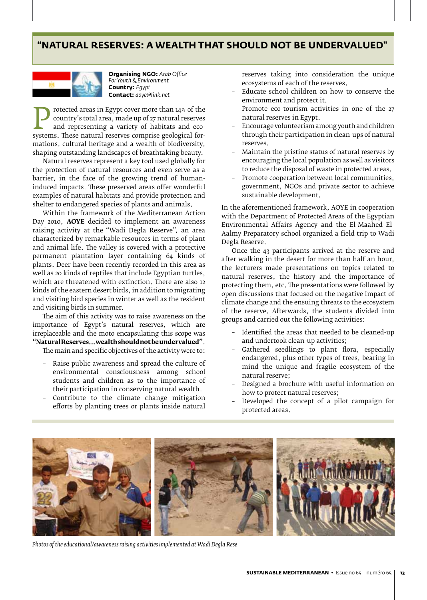# **"Natural Reserves: a wealth that should not be undervalued"**



**Organising NGO:** *Arab Office For Youth & Environment* **Country:** *Egypt* **Contact:** *aoye@link.net*

**Protected areas in Egypt cover more than 14% of the country's total area, made up of 27 natural reserves and ecosystems. These natural reserves comprise geological for-<br>mations cultural heritage and a wealth of biodiversi** country's total area, made up of 27 natural reserves and representing a variety of habitats and ecomations, cultural heritage and a wealth of biodiversity, shaping outstanding landscapes of breathtaking beauty.

Natural reserves represent a key tool used globally for the protection of natural resources and even serve as a barrier, in the face of the growing trend of humaninduced impacts. These preserved areas offer wonderful examples of natural habitats and provide protection and shelter to endangered species of plants and animals.

Within the framework of the Mediterranean Action Day 2010, **AOYE** decided to implement an awareness raising activity at the "Wadi Degla Reserve", an area characterized by remarkable resources in terms of plant and animal life. The valley is covered with a protective permanent plantation layer containing 64 kinds of plants. Deer have been recently recorded in this area as well as 20 kinds of reptiles that include Egyptian turtles, which are threatened with extinction. There are also 12 kinds of the eastern desert birds, in addition to migrating and visiting bird species in winter as well as the resident and visiting birds in summer.

The aim of this activity was to raise awareness on the importance of Egypt's natural reserves, which are irreplaceable and the moto encapsulating this scope was **"Natural Reserves... wealth should not be undervalued"**.

The main and specific objectives of the activity were to:

- Raise public awareness and spread the culture of environmental consciousness among school students and children as to the importance of their participation in conserving natural wealth.
- Contribute to the climate change mitigation efforts by planting trees or plants inside natural

reserves taking into consideration the unique ecosystems of each of the reserves.

- Educate school children on how to conserve the environment and protect it.
- Promote eco-tourism activities in one of the 27 natural reserves in Egypt.
- Encourage volunteerism among youth and children through their participation in clean-ups of natural reserves.
- Maintain the pristine status of natural reserves by encouraging the local population as well as visitors to reduce the disposal of waste in protected areas.
- Promote cooperation between local communities, government, NGOs and private sector to achieve sustainable development.

In the aforementioned framework, AOYE in cooperation with the Department of Protected Areas of the Egyptian Environmental Affairs Agency and the El-Maahed El-Aalmy Preparatory school organized a field trip to Wadi Degla Reserve.

Once the 43 participants arrived at the reserve and after walking in the desert for more than half an hour, the lecturers made presentations on topics related to natural reserves, the history and the importance of protecting them, etc. The presentations were followed by open discussions that focused on the negative impact of climate change and the ensuing threats to the ecosystem of the reserve. Afterwards, the students divided into groups and carried out the following activities:

- Identified the areas that needed to be cleaned-up and undertook clean-up activities;
- Gathered seedlings to plant flora, especially endangered, plus other types of trees, bearing in mind the unique and fragile ecosystem of the natural reserve;
- Designed a brochure with useful information on how to protect natural reserves;
- Developed the concept of a pilot campaign for protected areas.



*Photos of the educational/awareness raising activities implemented at Wadi Degla Rese*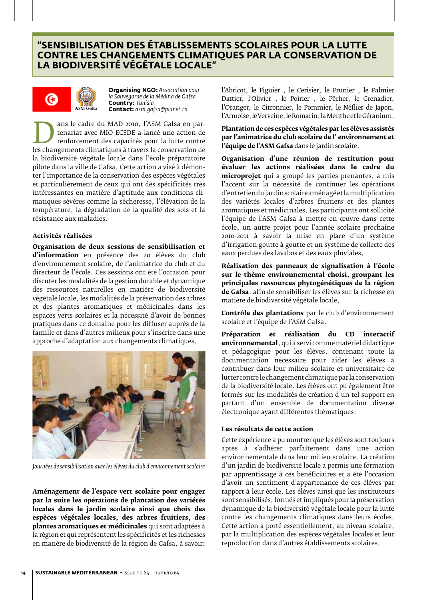# **"Sensibilisation des établissements scolaires pour la lutte contre les changements climatiques par la conservation de la biodiversité végétale locale"**



**Organising NGO:** *Association pour la Sauvegarde de la Médina de Gafsa* **Country:** *Tunisia* **Contact:** *asm.gafsa@planet.tn*

dus le cadre du *MAD 2010*, l'ASM Gafsa en par-<br>
tenariat avec MIO-ECSDE a lancé une action de<br>
les changements climatiques à travers la conservation de<br>
la biodiversité végétale locale dans l'école préparatoire tenariat avec MIO-ECSDE a lancé une action de renforcement des capacités pour la lutte contre la biodiversité végétale locale dans l'école préparatoire pilote dans la ville de Gafsa. Cette action a visé à démonter l'importance de la conservation des espèces végétales et particulièrement de ceux qui ont des spécificités très intéressantes en matière d'aptitude aux conditions climatiques sévères comme la sécheresse, l'élévation de la température, la dégradation de la qualité des sols et la résistance aux maladies.

## **Activités réalisées**

**Organisation de deux sessions de sensibilisation et d'information** en présence des 20 élèves du club d'environnement scolaire, de l'animatrice du club et du directeur de l'école. Ces sessions ont été l'occasion pour discuter les modalités de la gestion durable et dynamique des ressources naturelles en matière de biodiversité végétale locale, les modalités de la préservation des arbres et des plantes aromatiques et médicinales dans les espaces verts scolaires et la nécessité d'avoir de bonnes pratiques dans ce domaine pour les diffuser auprès de la famille et dans d'autres milieux pour s'inscrire dans une approche d'adaptation aux changements climatiques.



*Journées de sensibilisation avec les élèves du club d'environnement scolaire*

**Aménagement de l'espace vert scolaire pour engager par la suite les opérations de plantation des variétés locales dans le jardin scolaire ainsi que choix des espèces végétales locales, des arbres fruitiers, des plantes aromatiques et médicinales** qui sont adaptées à la région et qui représentent les spécificités et les richesses en matière de biodiversité de la région de Gafsa, à savoir:

l'Abricot, le Figuier , le Cerisier, le Prunier , le Palmier Dattier, l'Olivier , le Poirier , le Pêcher, le Grenadier, l'Oranger, le Citronnier, le Pommier, le Néflier de Japon, l'Armoise, le Verveine, le Romarin, la Menthe et le Géranium.

**Plantation de ces espèces végétales par les élèves assistés par l'animatrice du club scolaire de l' environnement et l'équipe de l'ASM Gafsa** dans le jardin scolaire.

**Organisation d'une réunion de restitution pour évaluer les actions réalisées dans le cadre du microprojet** qui a groupé les parties prenantes, a mis l'accent sur la nécessité de continuer les opérations d'entretien du jardin scolaire aménagé et la multiplication des variétés locales d'arbres fruitiers et des plantes aromatiques et médicinales. Les participants ont sollicité l'équipe de l'ASM Gafsa à mettre en œuvre dans cette école, un autre projet pour l'année scolaire prochaine 2010-2011 à savoir la mise en place d'un système d'irrigation goutte à goutte et un système de collecte des eaux perdues des lavabos et des eaux pluviales.

**Réalisation des panneaux de signalisation à l'école sur le thème environnemental choisi, groupant les principales ressources phytogénétiques de la région de Gafsa**, afin de sensibiliser les élèves sur la richesse en matière de biodiversité végétale locale.

**Contrôle des plantations** par le club d'environnement scolaire et l'équipe de l'ASM Gafsa.

**Préparation et réalisation du CD interactif environnemental**, qui a servi comme matériel didactique et pédagogique pour les élèves, contenant toute la documentation nécessaire pour aider les élèves à contribuer dans leur milieu scolaire et universitaire de lutter contre le changement climatique par la conservation de la biodiversité locale. Les élèves ont pu également être formés sur les modalités de création d'un tel support en partant d'un ensemble de documentation diverse électronique ayant différentes thématiques.

## **Les résultats de cette action**

Cette expérience a pu montrer que les élèves sont toujours aptes à s'adhérer parfaitement dans une action environnementale dans leur milieu scolaire. La création d'un jardin de biodiversité locale a permis une formation par apprentissage à ces bénéficiaires et a été l'occasion d'avoir un sentiment d'appartenance de ces élèves par rapport à leur école. Les élèves ainsi que les instituteurs sont sensibilisés, formés et impliqués pour la préservation dynamique de la biodiversité végétale locale pour la lutte contre les changements climatiques dans leurs écoles. Cette action a porté essentiellement, au niveau scolaire, par la multiplication des espèces végétales locales et leur reproduction dans d'autres établissements scolaires.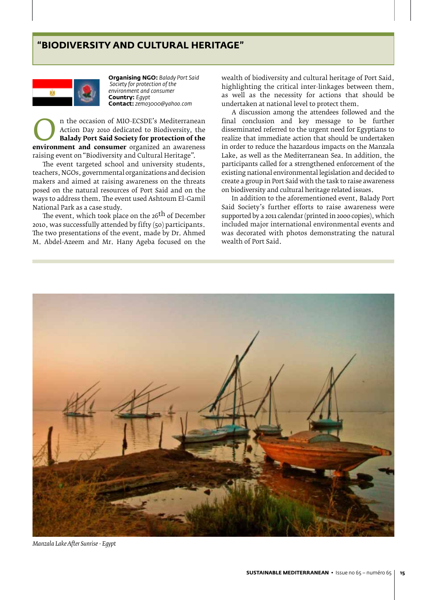## **"Biodiversity and Cultural Heritage"**



**Organising NGO:** *Balady Port Said Society for protection of the environment and consumer* **Country:** *Egypt* **Contact:** *zemo3000@yahoo.com*

**Example 19 Action Day 2010 dedicated to Biodiversity, the Balady Port Said Society for protection of the environment and consumer** organized an awareness raising event on "Biodiversity and Cultural Heritage" Action Day 2010 dedicated to Biodiversity, the **Balady Port Said Society for protection of the**  raising event on "Biodiversity and Cultural Heritage".

The event targeted school and university students, teachers, NGOs, governmental organizations and decision makers and aimed at raising awareness on the threats posed on the natural resources of Port Said and on the ways to address them. The event used Ashtoum El-Gamil National Park as a case study.

The event, which took place on the 26<sup>th</sup> of December 2010, was successfully attended by fifty (50) participants. The two presentations of the event, made by Dr. Ahmed M. Abdel-Azeem and Mr. Hany Ageba focused on the

wealth of biodiversity and cultural heritage of Port Said, highlighting the critical inter-linkages between them, as well as the necessity for actions that should be undertaken at national level to protect them.

A discussion among the attendees followed and the final conclusion and key message to be further disseminated referred to the urgent need for Egyptians to realize that immediate action that should be undertaken in order to reduce the hazardous impacts on the Manzala Lake, as well as the Mediterranean Sea. In addition, the participants called for a strengthened enforcement of the existing national environmental legislation and decided to create a group in Port Said with the task to raise awareness on biodiversity and cultural heritage related issues.

In addition to the aforementioned event, Balady Port Said Society's further efforts to raise awareness were supported by a 2011 calendar (printed in 2000 copies), which included major international environmental events and was decorated with photos demonstrating the natural wealth of Port Said.



*Manzala Lake After Sunrise - Egypt*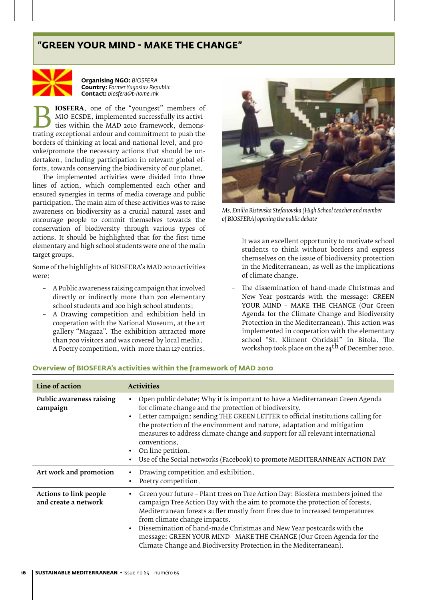# **"Green your mind - make the change"**



**Organising NGO:** *BIOSFERA* **Country:** *Former Yugoslav Republic*  **Contact:** *biosfera@t-home.mk*

MIO-ECSDE, implemented successfully its activities within the MAD 2010 framework, demonstrating exceptional ardour and commitment to push the borders of thinking at local and national level and pro-MIO-ECSDE, implemented successfully its activities within the MAD 2010 framework, demonstrating exceptional ardour and commitment to push the borders of thinking at local and national level, and provoke/promote the necessary actions that should be undertaken, including participation in relevant global efforts, towards conserving the biodiversity of our planet.

The implemented activities were divided into three lines of action, which complemented each other and ensured synergies in terms of media coverage and public participation. The main aim of these activities was to raise awareness on biodiversity as a crucial natural asset and encourage people to commit themselves towards the conservation of biodiversity through various types of actions. It should be highlighted that for the first time elementary and high school students were one of the main target groups.

Some of the highlights of BIOSFERA's MAD 2010 activities were:

- A Public awareness raising campaignthat involved directly or indirectly more than 700 elementary school students and 200 high school students;
- A Drawing competition and exhibition held in cooperation with the National Museum, at the art gallery "Magaza". The exhibition attracted more than 700 visitors and was covered by local media.
- A Poetry competition, with more than 127 entries.



*Ms. Emilia Ristevska Stefanovska (High School teacher and member of BIOSFERA) opening the public debate*

It was an excellent opportunity to motivate school students to think without borders and express themselves on the issue of biodiversity protection in the Mediterranean, as well as the implications of climate change.

– The dissemination of hand-made Christmas and New Year postcards with the message: GREEN YOUR MIND – MAKE THE CHANGE (Our Green Agenda for the Climate Change and Biodiversity Protection in the Mediterranean). This action was implemented in cooperation with the elementary school "St. Kliment Ohridski" in Bitola. The workshop took place on the 24<sup>th</sup> of December 2010.

| Line of action                                 | <b>Activities</b>                                                                                                                                                                                                                                                                                                                                                                                                                                                                                                   |
|------------------------------------------------|---------------------------------------------------------------------------------------------------------------------------------------------------------------------------------------------------------------------------------------------------------------------------------------------------------------------------------------------------------------------------------------------------------------------------------------------------------------------------------------------------------------------|
| Public awareness raising<br>campaign           | Open public debate: Why it is important to have a Mediterranean Green Agenda<br>for climate change and the protection of biodiversity.<br>Letter campaign: sending THE GREEN LETTER to official institutions calling for<br>$\bullet$<br>the protection of the environment and nature, adaptation and mitigation<br>measures to address climate change and support for all relevant international<br>conventions.<br>On line petition.<br>Use of the Social networks (Facebook) to promote MEDITERANNEAN ACTION DAY |
| Art work and promotion                         | Drawing competition and exhibition.<br>Poetry competition.                                                                                                                                                                                                                                                                                                                                                                                                                                                          |
| Actions to link people<br>and create a network | Green your future - Plant trees on Tree Action Day: Biosfera members joined the<br>campaign Tree Action Day with the aim to promote the protection of forests.<br>Mediterranean forests suffer mostly from fires due to increased temperatures<br>from climate change impacts.<br>Dissemination of hand-made Christmas and New Year postcards with the<br>message: GREEN YOUR MIND - MAKE THE CHANGE (Our Green Agenda for the<br>Climate Change and Biodiversity Protection in the Mediterranean).                 |

#### **Overview of BIOSFERA's activities within the framework of MAD 2010**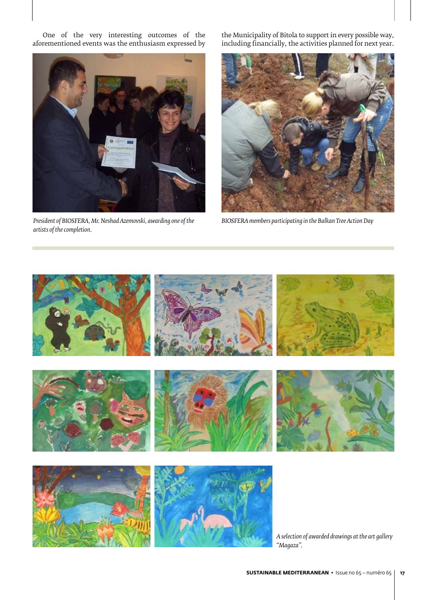One of the very interesting outcomes of the aforementioned events was the enthusiasm expressed by



*President of BIOSFERA, Mr. Neshad Azemovski, awarding one of the artists of the completion.*

the Municipality of Bitola to support in every possible way, including financially, the activities planned for next year.



*BIOSFERA members participating in the Balkan Tree Action Day*

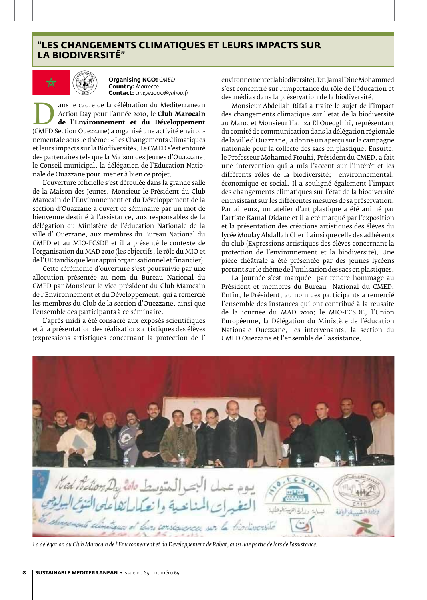## **"Les Changements Climatiques et leurs impacts sur la Biodiversité"**



**Organising NGO:** *CMED* **Country:** *Morrocco* **Contact:** *cmepe2000@yahoo.fr*

The cadre de la célébration du Mediterranean<br> **de l'Environnement et du Développement**<br>
(CMED Section Ouezzane) a organisé une activité environ-<br>
nementale sous le thème: « Les Changements Climatiques Action Day pour l'année 2010, le **Club Marocain de l'Environnement et du Développement** nementale sous le thème: « Les Changements Climatiques et leurs impacts sur la Biodiversité». Le CMED s'est entouré des partenaires tels que la Maison des Jeunes d'Ouazzane, le Conseil municipal, la délégation de l'Education Nationale de Ouazzane pour mener à bien ce projet.

L'ouverture officielle s'est déroulée dans la grande salle de la Maison des Jeunes. Monsieur le Président du Club Marocain de l'Environnement et du Développement de la section d'Ouazzane a ouvert ce séminaire par un mot de bienvenue destiné à l'assistance, aux responsables de la délégation du Ministère de l'éducation Nationale de la ville d' Ouezzane, aux membres du Bureau National du CMED et au MIO-ECSDE et il a présenté le contexte de l'organisation du MAD 2010 (les objectifs, le rôle du MIO et de l'UE tandis que leur appui organisationnel et financier).

Cette cérémonie d'ouverture s'est poursuivie par une allocution présentée au nom du Bureau National du CMED par Monsieur le vice-président du Club Marocain de l'Environnement et du Développement, qui a remercié les membres du Club de la section d'Ouezzane, ainsi que l'ensemble des participants à ce séminaire.

L'après-midi a été consacré aux exposés scientifiques et à la présentation des réalisations artistiques des élèves (expressions artistiques concernant la protection de l'

environnement et la biodiversité). Dr. Jamal Dine Mohammed s'est concentré sur l'importance du rôle de l'éducation et des médias dans la préservation de la biodiversité.

Monsieur Abdellah Rifai a traité le sujet de l'impact des changements climatique sur l'état de la biodiversité au Maroc et Monsieur Hamza El Ouedghiri, représentant du comité de communication dans la délégation régionale de la ville d'Ouazzane, a donné un aperçu sur la campagne nationale pour la collecte des sacs en plastique. Ensuite, le Professeur Mohamed Ftouhi, Président du CMED, a fait une intervention qui a mis l'accent sur l'intérêt et les différents rôles de la biodiversité; environnemental, économique et social. Il a souligné également l'impact des changements climatiques sur l'état de la biodiversité en insistant sur les différentes mesures de sa préservation. Par ailleurs, un atelier d'art plastique a été animé par l'artiste Kamal Didane et il a été marqué par l'exposition et la présentation des créations artistiques des élèves du lycée Moulay Abdallah Cherif ainsi que celle des adhérents du club (Expressions artistiques des élèves concernant la protection de l'environnement et la biodiversité). Une pièce théâtrale a été présentée par des jeunes lycéens portant sur le thème de l'utilisation des sacs en plastiques.

La journée s'est marquée par rendre hommage au Président et membres du Bureau National du CMED. Enfin, le Président, au nom des participants a remercié l'ensemble des instances qui ont contribué à la réussite de la journée du MAD 2010: le MIO-ECSDE, l'Union Européenne, la Délégation du Ministère de l'éducation Nationale Ouezzane, les intervenants, la section du CMED Ouezzane et l'ensemble de l'assistance.



*La délégation du Club Marocain de l'Environnement et du Développement de Rabat, ainsi une partie de lors de l'assistance.*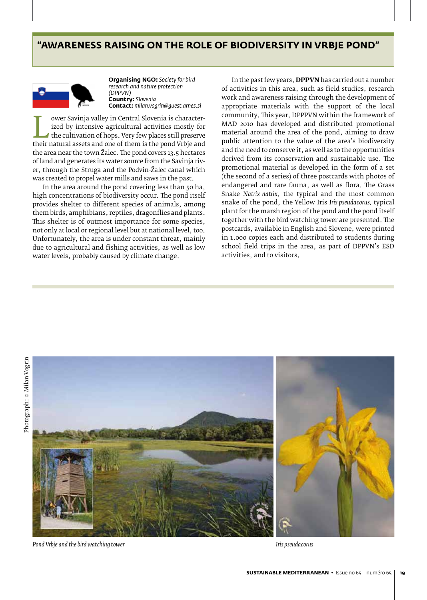## **"Awareness raising on the role of biodiversity in Vrbje pond"**



**Organising NGO:** *Society for bird research and nature protection (DPPVN)* **Country:** *Slovenia* **Contact:** *milan.vogrin@guest.arnes.si*

by intensive agricultural activities mostly for<br>the cultivation of hops. Very few places still preserve<br>their natural assets and one of them is the pond Vrbje and<br>the area near the town Žalec. The pond covers 12.5 bectares ized by intensive agricultural activities mostly for the cultivation of hops. Very few places still preserve the area near the town Žalec. The pond covers 13.5 hectares of land and generates its water source from the Savinja river, through the Struga and the Podvin-Žalec canal which was created to propel water mills and saws in the past.

In the area around the pond covering less than 50 ha, high concentrations of biodiversity occur. The pond itself provides shelter to different species of animals, among them birds, amphibians, reptiles, dragonflies and plants. This shelter is of outmost importance for some species, not only at local or regional level but at national level, too. Unfortunately, the area is under constant threat, mainly due to agricultural and fishing activities, as well as low water levels, probably caused by climate change.

In the past few years, **DPPVN** has carried out a number of activities in this area, such as field studies, research work and awareness raising through the development of appropriate materials with the support of the local community. This year, DPPPVN within the framework of MAD 2010 has developed and distributed promotional material around the area of the pond, aiming to draw public attention to the value of the area's biodiversity and the need to conserve it, as well as to the opportunities derived from its conservation and sustainable use. The promotional material is developed in the form of a set (the second of a series) of three postcards with photos of endangered and rare fauna, as well as flora. The Grass Snake *Natrix natrix*, the typical and the most common snake of the pond, the Yellow Iris *Iris pseudacorus,* typical plant for the marsh region of the pond and the pond itself together with the bird watching tower are presented. The postcards, available in English and Slovene, were printed in 1.000 copies each and distributed to students during school field trips in the area, as part of DPPVN's ESD activities, and to visitors.



*Pond Vrbje and the bird watching tower Iris pseudacorus*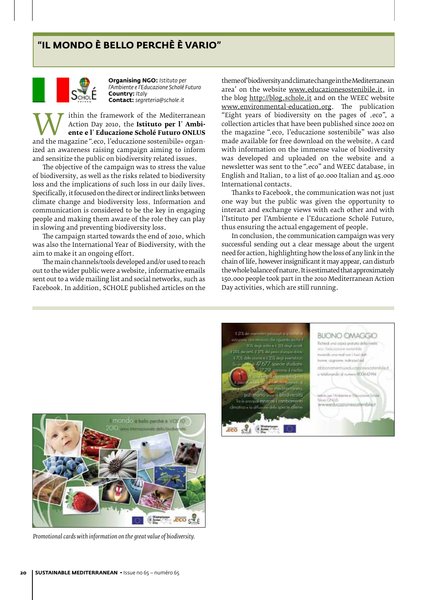# **"IL MONDO È BELLO PERCHÈ È VARIO"**



**Organising NGO:** *Istituto per l'Ambiente e l'Educazione Scholé Futuro* **Country:** *Italy* **Contact:** *segreteria@schole.it*

Action Day 2010, the **Istituto per l'Ambi-**<br>
ente e l'Educazione Scholé Futuro ONLUS<br>
and the magazine ".eco, l'educazione sostenibile» organ-<br>
ized an awareness raising campaign aiming to inform Action Day 2010, the **Istituto per l**' **Ambiente e l**' **Educazione Scholé Futuro ONLUS** ized an awareness raising campaign aiming to inform and sensitize the public on biodiversity related issues.

The objective of the campaign was to stress the value of biodiversity, as well as the risks related to biodiversity loss and the implications of such loss in our daily lives. Specifically, it focused on the direct or indirect links between climate change and biodiversity loss. Information and communication is considered to be the key in engaging people and making them aware of the role they can play in slowing and preventing biodiversity loss.

The campaign started towards the end of 2010, which was also the International Year of Biodiversity, with the aim to make it an ongoing effort.

The main channels/tools developed and/or used to reach out to the wider public were a website, informative emails sent out to a wide mailing list and social networks, such as Facebook. In addition, SCHOLE published articles on the

theme of 'biodiversity and climate change in the Mediterranean area' on the website www.educazionesostenibile.it, in the blog http://blog.schole.it and on the WEEC website www.environmental-education.org. The publication "Eight years of biodiversity on the pages of .eco", a collection articles that have been published since 2002 on the magazine ".eco, l'educazione sostenibile" was also made available for free download on the website. A card with information on the immense value of biodiversity was developed and uploaded on the website and a newsletter was sent to the ".eco" and WEEC database, in English and Italian, to a list of 40.000 Italian and 45.000 International contacts.

Thanks to Facebook, the communication was not just one way but the public was given the opportunity to interact and exchange views with each other and with l'Istituto per l'Ambiente e l'Educazione Scholé Futuro, thus ensuring the actual engagement of people.

In conclusion, the communication campaign was very successful sending out a clear message about the urgent need for action, highlighting how the loss of any link in the chain of life, however insignificant it may appear, can disturb the whole balance of nature. It is estimated that approximately 150.000 people took part in the 2010 Mediterranean Action Day activities, which are still running.



*Promotional cards with information on the great value of biodiversity.*

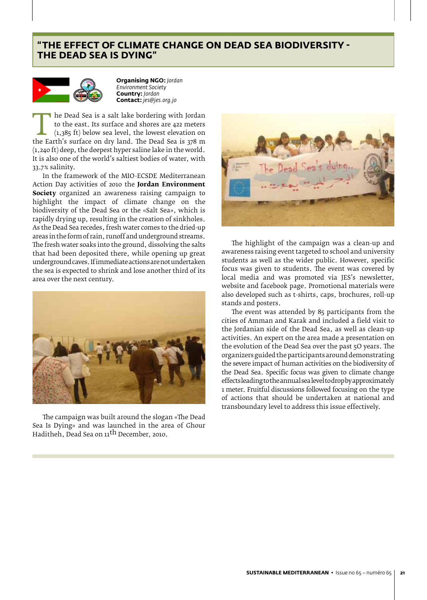# **"The effect of climate change on Dead Sea biodiversity the Dead Sea Is Dying"**



**Organising NGO:** *Jordan Environment Society* **Country:** *Jordan* **Contact:** *jes@jes.org.jo*

the Dead sea is a salt lake bordering with Jordan to the east. Its surface and shores are 422 meters (1,385 ft) below sea level, the lowest elevation on the Earth's surface on dry land. The Dead Sea is 378 m (1,240 ft) dee to the east. Its surface and shores are 422 meters (1,385 ft) below sea level, the lowest elevation on (1,240 ft) deep, the deepest hyper saline lake in the world. It is also one of the world's saltiest bodies of water, with 33.7% salinity.

In the framework of the MIO-ECSDE Mediterranean Action Day activities of 2010 the **Jordan Environment Society** organized an awareness raising campaign to highlight the impact of climate change on the biodiversity of the Dead Sea or the «Salt Sea», which is rapidly drying up, resulting in the creation of sinkholes. As the Dead Sea recedes, fresh water comes to the dried-up areas in the form of rain, runoff and underground streams. The fresh water soaks into the ground, dissolving the salts that had been deposited there, while opening up great underground caves. If immediate actions are not undertaken the sea is expected to shrink and lose another third of its area over the next century.



The campaign was built around the slogan «The Dead Sea Is Dying» and was launched in the area of Ghour Haditheh, Dead Sea on 11th December, 2010.



The highlight of the campaign was a clean-up and awareness raising event targeted to school and university students as well as the wider public. However, specific focus was given to students. The event was covered by local media and was promoted via JES's newsletter, website and facebook page. Promotional materials were also developed such as t-shirts, caps, brochures, roll-up stands and posters.

The event was attended by 85 participants from the cities of Amman and Karak and included a field visit to the Jordanian side of the Dead Sea, as well as clean-up activities. An expert on the area made a presentation on the evolution of the Dead Sea over the past 5O years. The organizers guided the participants around demonstrating the severe impact of human activities on the biodiversity of the Dead Sea. Specific focus was given to climate change effects leading to the annual sea level to drop by approximately 1 meter. Fruitful discussions followed focusing on the type of actions that should be undertaken at national and transboundary level to address this issue effectively.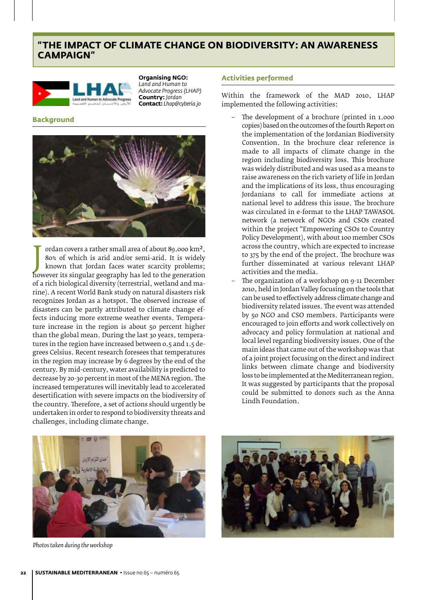# **"The impact of Climate Change on Biodiversity: an awareness campaign"**



**Organising NGO:** *Land and Human to Advocate Progress (LHAP)* **Country:** *Jordan* **Contact:** *Lhap@cyberia.jo*

## **Background**



80% of which is arid and/or semi-arid. It is widely<br>known that Jordan faces water scarcity problems;<br>however its singular geography has led to the generation<br>of a rich biological divargity (terrestrial, wetland and ma ordan covers a rather small area of about 89.000 km2, 80% of which is arid and/or semi-arid. It is widely known that Jordan faces water scarcity problems; of a rich biological diversity (terrestrial, wetland and marine). A recent World Bank study on natural disasters risk recognizes Jordan as a hotspot. The observed increase of disasters can be partly attributed to climate change effects inducing more extreme weather events. Temperature increase in the region is about 50 percent higher than the global mean. During the last 30 years, temperatures in the region have increased between 0.5 and 1.5 degrees Celsius. Recent research foresees that temperatures in the region may increase by 6 degrees by the end of the century. By mid-century, water availability is predicted to decrease by 20-30 percent in most of the MENA region. The increased temperatures will inevitably lead to accelerated desertification with severe impacts on the biodiversity of the country. Therefore, a set of actions should urgently be undertaken in order to respond to biodiversity threats and challenges, including climate change.

#### **Activities performed**

Within the framework of the MAD 2010, LHAP implemented the following activities:

- The development of a brochure (printed in 1.000 copies) based on the outcomes of the fourth Report on the implementation of the Jordanian Biodiversity Convention. In the brochure clear reference is made to all impacts of climate change in the region including biodiversity loss. This brochure was widely distributed and was used as a means to raise awareness on the rich variety of life in Jordan and the implications of its loss, thus encouraging Jordanians to call for immediate actions at national level to address this issue. The brochure was circulated in e-format to the LHAP TAWASOL network (a network of NGOs and CSOs created within the project "Empowering CSOs to Country Policy Development), with about 100 member CSOs across the country, which are expected to increase to 375 by the end of the project. The brochure was further disseminated at various relevant LHAP activities and the media.
- The organization of a workshop on 9-11 December 2010, held in Jordan Valley focusing on the tools that can be used to effectively address climate change and biodiversity related issues. The event was attended by 50 NGO and CSO members. Participants were encouraged to join efforts and work collectively on advocacy and policy formulation at national and local level regarding biodiversity issues. One of the main ideas that came out of the workshop was that of a joint project focusing on the direct and indirect links between climate change and biodiversity loss to be implemented at the Mediterranean region. It was suggested by participants that the proposal could be submitted to donors such as the Anna Lindh Foundation.



*Photos taken during the workshop*

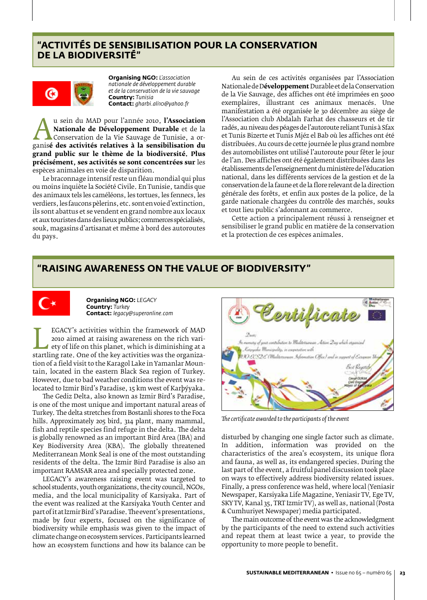# **"Activités de sensibilisation pour la conservation de la biodiversité"**



**Organising NGO:** *L'association nationale de développement durable et de la conservation de la vie sauvage* **Country:** *Tunisia* **Contact:** *gharbi.ali10@yahoo.fr*

**Au sein du MAD pour l'aimee 2010, l'Association**<br> **Nationale de Développement Durable** et de la<br>
Conservation de la Vie Sauvage de Tunisie, a or-<br>
ganis**é des activités relatives à la sensibilisation du**<br> **prand public su Nationale de Développement Durable** et de la Conservation de la Vie Sauvage de Tunisie, a organis**é des activités relatives à la sensibilisation du grand public sur le thème de la biodiversité. Plus précisément, ses activités se sont concentrées sur** les espèces animales en voie de disparition.

Le braconnage intensif reste un fléau mondial qui plus ou moins inquiète la Société Civile. En Tunisie, tandis que des animaux tels les caméléons, les tortues, les fennecs, les verdiers, les faucons pèlerins, etc. sont en voie d'extinction, ils sont abattus et se vendent en grand nombre aux locaux et aux touristes dans des lieux publics; commerces spécialisés, souk, magasins d'artisanat et même à bord des autoroutes du pays.

Au sein de ces activités organisées par l'Association Nationale de D**éveloppement** Durable et de la Conservation de la Vie Sauvage, des affiches ont été imprimées en 5000 exemplaires, illustrant ces animaux menacés. Une manifestation a été organisée le 30 décembre au siège de l'Association club Abdalah Farhat des chasseurs et de tir radés, au niveau des péages de l'autoroute reliant Tunis à Sfax et Tunis Bizerte et Tunis Mjéz el Bab où les affiches ont été distribuées. Au cours de cette journée le plus grand nombre des automobilistes ont utilisé l'autoroute pour fêter le jour de l'an. Des affiches ont été également distribuées dans les établissements de l'enseignement du ministère de l'éducation national, dans les différents services de la gestion et de la conservation de la faune et de la flore relevant de la direction générale des forêts, et enfin aux postes de la police, de la garde nationale chargées du contrôle des marchés, souks et tout lieu public s'adonnant au commerce.

Cette action a principalement réussi à renseigner et sensibiliser le grand public en matière de la conservation et la protection de ces espèces animales.

## **"Raising awareness on the value of biodiversity"**



**Organising NGO:** *LEGACY* **Country:** *Turkey* **Contact:** *legacy@superonline.com*

EGACT'S activities within the framework of MAD<br>
2010 aimed at raising awareness on the rich vari-<br>
ety of life on this planet, which is diminishing at a<br>
startling rate. One of the key activities was the organiza-<br>
tion of 2010 aimed at raising awareness on the rich variety of life on this planet, which is diminishing at a tion of a field visit to the Karagol Lake in Yamanlar Mountain, located in the eastern Black Sea region of Turkey. However, due to bad weather conditions the event was relocated to Izmir Bird's Paradise, 15 km west of Karþýyaka.

The Gediz Delta, also known as Izmir Bird's Paradise, is one of the most unique and important natural areas of Turkey. The delta stretches from Bostanli shores to the Foca hills. Approximately 205 bird, 314 plant, many mammal, fish and reptile species find refuge in the delta. The delta is globally renowned as an important Bird Area (IBA) and Key Biodiversity Area (KBA). The globally threatened Mediterranean Monk Seal is one of the most outstanding residents of the delta. The Izmir Bird Paradise is also an important RAMSAR area and specially protected zone.

LEGACY's awareness raising event was targeted to school students, youth organizations, the city council, NGOs, media, and the local municipality of Karsiyaka. Part of the event was realized at the Karsiyaka Youth Center and part of it at Izmir Bird's Paradise. The event's presentations, made by four experts, focused on the significance of biodiversity while emphasis was given to the impact of climate change on ecosystem services. Participants learned how an ecosystem functions and how its balance can be



*The certificate awarded to the participants of the event*

disturbed by changing one single factor such as climate. In addition, information was provided on the characteristics of the area's ecosystem, its unique flora and fauna, as well as, its endangered species. During the last part of the event, a fruitful panel discussion took place on ways to effectively address biodiversity related issues. Finally, a press conference was held, where local (Yeniasir Newspaper, Karsiyaka Life Magazine, Yeniasir TV, Ege TV, SKY TV, Kanal 35, TRT Izmir TV), as well as, national (Posta & Cumhuriyet Newspaper) media participated.

The main outcome of the event was the acknowledgment by the participants of the need to extend such activities and repeat them at least twice a year, to provide the opportunity to more people to benefit.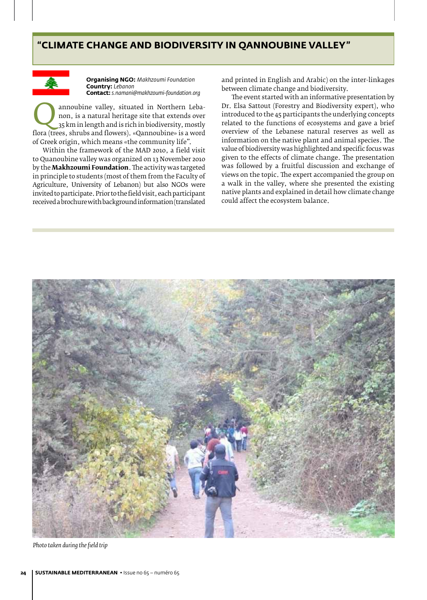# **"Climate Change and Biodiversity in Qannoubine Valley"**



**Organising NGO:** *Makhzoumi Foundation* **Country:** *Lebanon* **Contact:** *s.namani@makhzoumi-foundation.org*

annoubine valley, situated in Northern Leba-<br>
non, is a natural heritage site that extends over<br>  $35 \text{ km}$  in length and is rich in biodiversity, mostly<br>
flora (trees, shrubs and flowers). «Qannoubine» is a word non, is a natural heritage site that extends over 35 km in length and is rich in biodiversity, mostly of Greek origin, which means «the community life".

Within the framework of the MAD 2010, a field visit to Quanoubine valley was organized on 13 November 2010 by the **Makhzoumi Foundation**. The activity was targeted in principle to students (most of them from the Faculty of Agriculture, University of Lebanon) but also NGOs were invited to participate. Prior to the field visit, each participant received a brochure with background information (translated and printed in English and Arabic) on the inter-linkages between climate change and biodiversity.

The event started with an informative presentation by Dr. Elsa Sattout (Forestry and Biodiversity expert), who introduced to the 45 participants the underlying concepts related to the functions of ecosystems and gave a brief overview of the Lebanese natural reserves as well as information on the native plant and animal species. The value of biodiversity was highlighted and specific focus was given to the effects of climate change. The presentation was followed by a fruitful discussion and exchange of views on the topic. The expert accompanied the group on a walk in the valley, where she presented the existing native plants and explained in detail how climate change could affect the ecosystem balance.



*Photo taken during the field trip*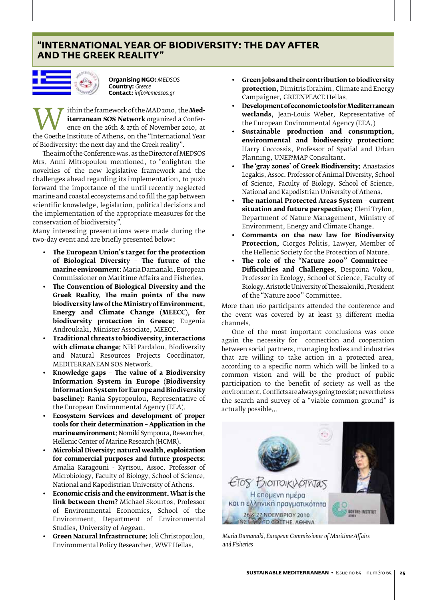# **"International Year of Biodiversity: the day after and the Greek reality"**



**Organising NGO:** *MEDSOS* **Country:** *Greece* **Contact:** *info@emedsos.gr*

**Example 12 September 2010**<br> **the Coethe Institute of Athens, on the "International Year**<br>
of Biodiversity: the next day and the Greek reality" **iterranean SOS Network** organized a Conference on the 26th & 27th of November 2010, at of Biodiversity: the next day and the Greek reality"*.*

The aim of the Conference was, as the Director of MEDSOS Mrs. Anni Mitropoulou mentioned, to "enlighten the novelties of the new legislative framework and the challenges ahead regarding its implementation, to push forward the importance of the until recently neglected marine and coastal ecosystems and to fill the gap between scientific knowledge, legislation, political decisions and the implementation of the appropriate measures for the conservation of biodiversity".

Many interesting presentations were made during the two-day event and are briefly presented below:

- **• The European Union's target for the protection of Biological Diversity – The future of the marine environment:** Maria Damanaki, European Commissioner on Maritime Affairs and Fisheries.
- **• The Convention of Biological Diversity and the Greek Reality. The main points of the new biodiversity law of the Ministryof Environment, Energy and Climate Change (MEECC), for biodiversity protection in Greece:** Eugenia Androukaki**,** Minister Associate, MEECC.
- **• Traditional threats to biodiversity, interactions with climate change:** Niki Pardalou, Biodiversity and Natural Resources Projects Coordinator, MEDITERRANEAN SOS Network.
- **• Knowledge gaps The value of a Biodiversity Information System in Europe (Biodiversity Information System for Europe and Biodiversity baseline):** Rania Spyropoulou, Representative of the European Environmental Agency (EEA).
- **• Ecosystem Services and development of proper tools for their determination – Application in the marine environment**: Nomiki Sympoura, Researcher, Hellenic Center of Marine Research (HCMR).
- **• Microbial Diversity: natural wealth, exploitation for commercial purposes and future prospects:**  Amalia Karagouni - Kyrtsou, Assoc. Professor of Microbiology, Faculty of Biology, School of Science, National and Kapodistrian University of Athens.
- **• Economic crisis and the environment. What is the link between them?** Michael Skourtos, Professor of Environmental Economics, School of the Environment, Department of Environmental Studies, University of Aegean.
- **• Green Natural Infrastructure:** Ioli Christopoulou, Environmental Policy Researcher, WWF Hellas.
- **• Green jobs and their contribution to biodiversity protection,** Dimitris Ibrahim, Climate and Energy Campaigner, GREENPEACE Hellas.
- **• Development of economic tools for Mediterranean wetlands,** Jean-Louis Weber, Representative of the European Environmental Agency (EEA.)
- **• Sustainable production and consumption, environmental and biodiversity protection:**  Harry Coccossis, Professor of Spatial and Urban Planning, UNEP/MAP Consultant.
- **• The 'gray zones' of Greek Biodiversity:** Anastasios Legakis, Assoc. Professor of Animal Diversity, School of Science, Faculty of Biology, School of Science, National and Kapodistrian University of Athens.
- **• The national Protected Areas System current situation and future perspectives:** Eleni Tryfon, Department of Nature Management, Ministry of Environment, Energy and Climate Change.
- **• Comments on the new law for Biodiversity Protection,** *Giorgos Politis*, Lawyer, Member of the Hellenic Society for the Protection of Nature. the Hellenic Society for the Protection of Nature.
- **• The role of the "Nature 2000" Committee Difficulties and Challenges,** Despoina Vokou, Professor in Ecology, School of Science, Faculty of Biology, Aristotle University of Thessaloniki, President of the "Nature 2000" Committee.

More than 160 participants attended the conference and the event was covered by at least 33 different media channels.

One of the most important conclusions was once again the necessity for connection and cooperation between social partners, managing bodies and industries that are willing to take action in a protected area, according to a specific norm which will be linked to a common vision and will be the product of public participation to the benefit of society as well as the environment. Conflicts are always going to exist; nevertheless the search and survey of a "viable common ground" is actually possible…



*Maria Damanaki, European Commissioner of Maritime Affairs and Fisheries*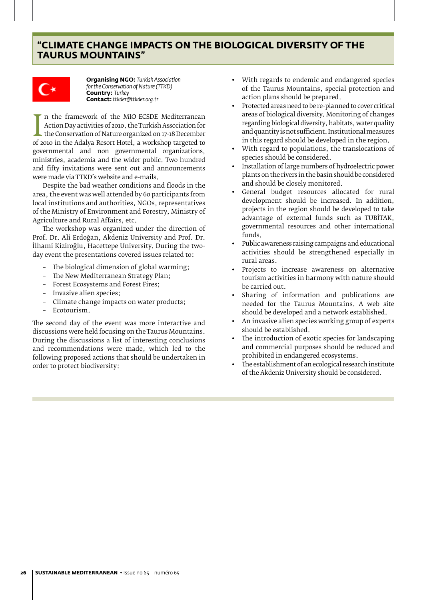# **"Climate Change impacts on the biological diversity of the Taurus Mountains"**



**Organising NGO:** *Turkish Association for the Conservation of Nature (TTKD)* **Country:** *Turkey* **Contact:** *ttkder@ttkder.org.tr*

Action Day activities of 2010, the Turkish Association for<br>the Conservation of Nature organized on 17-18 December<br>of 2010 in the Adalya Resort Hotel, a workshop targeted to<br>governmental and non-governmental organizations n the framework of the MIO-ECSDE Mediterranean Action Day activities of 2010, the Turkish Association for the Conservation of Nature organized on 17-18 December governmental and non governmental organizations, ministries, academia and the wider public. Two hundred and fifty invitations were sent out and announcements were made via TTKD's website and e-mails.

Despite the bad weather conditions and floods in the area, the event was well attended by 60 participants from local institutions and authorities, NGOs, representatives of the Ministry of Environment and Forestry, Ministry of Agriculture and Rural Affairs, etc.

The workshop was organized under the direction of Prof. Dr. Ali Erdoğan, Akdeniz University and Prof. Dr. İlhami Kiziroğlu, Hacettepe University. During the twoday event the presentations covered issues related to:

- The biological dimension of global warming;
- The New Mediterranean Strategy Plan;
- Forest Ecosystems and Forest Fires;
- Invasive alien species;
- Climate change impacts on water products;
- Ecotourism.

The second day of the event was more interactive and discussions were held focusing on the Taurus Mountains. During the discussions a list of interesting conclusions and recommendations were made, which led to the following proposed actions that should be undertaken in order to protect biodiversity:

- With regards to endemic and endangered species of the Taurus Mountains, special protection and action plans should be prepared.
- Protected areas need to be re-planned to cover critical areas of biological diversity. Monitoring of changes regarding biological diversity, habitats, water quality and quantity is not sufficient. Institutional measures in this regard should be developed in the region.
- With regard to populations, the translocations of species should be considered.
- Installation of large numbers of hydroelectric power plants on the rivers in the basin should be considered and should be closely monitored.
- General budget resources allocated for rural development should be increased. In addition, projects in the region should be developed to take advantage of external funds such as TUBİTAK, governmental resources and other international funds.
- Public awareness raising campaigns and educational activities should be strengthened especially in rural areas.
- Projects to increase awareness on alternative tourism activities in harmony with nature should be carried out.
- Sharing of information and publications are needed for the Taurus Mountains. A web site should be developed and a network established.
- An invasive alien species working group of experts should be established.
- The introduction of exotic species for landscaping and commercial purposes should be reduced and prohibited in endangered ecosystems.
- The establishment of an ecological research institute of the Akdeniz University should be considered.